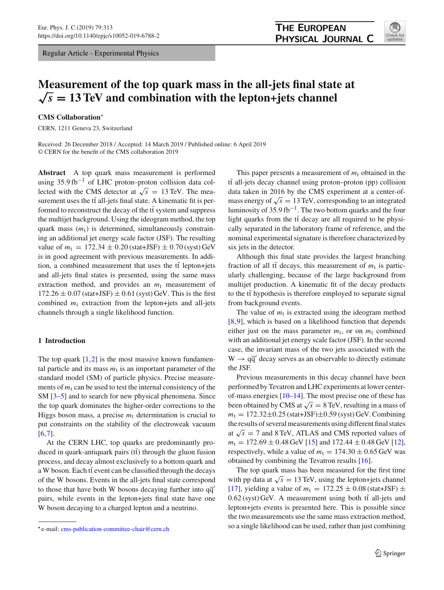Regular Article - Experimental Physics

# **THE EUROPEAN** PHYSICAL JOURNAL C



# **Measurement of the top quark mass in the all-jets final state at**  $\sqrt{s}$  = 13 TeV and combination with the lepton+jets channel

**CMS Collaboration**[∗](#page-0-0)

CERN, 1211 Geneva 23, Switzerland

Received: 26 December 2018 / Accepted: 14 March 2019 / Published online: 6 April 2019 © CERN for the benefit of the CMS collaboration 2019

**Abstract** A top quark mass measurement is performed using  $35.9 \text{ fb}^{-1}$  of LHC proton–proton collision data collected with the CMS detector at  $\sqrt{s}$  = 13 TeV. The measurement uses the  $t\bar{t}$  all-jets final state. A kinematic fit is performed to reconstruct the decay of the tt system and suppress the multijet background. Using the ideogram method, the top quark mass  $(m_t)$  is determined, simultaneously constraining an additional jet energy scale factor (JSF). The resulting value of  $m_t = 172.34 \pm 0.20$  (stat+JSF)  $\pm 0.70$  (syst) GeV is in good agreement with previous measurements. In addition, a combined measurement that uses the  $t\bar{t}$  lepton+jets and all-jets final states is presented, using the same mass extraction method, and provides an  $m_t$  measurement of  $172.26 \pm 0.07$  (stat+JSF)  $\pm 0.61$  (syst) GeV. This is the first combined  $m_t$  extraction from the lepton+jets and all-jets channels through a single likelihood function.

#### **1 Introduction**

The top quark  $[1,2]$  $[1,2]$  $[1,2]$  is the most massive known fundamental particle and its mass  $m_t$  is an important parameter of the standard model (SM) of particle physics. Precise measurements of  $m_t$  can be used to test the internal consistency of the SM  $[3-5]$  $[3-5]$  and to search for new physical phenomena. Since the top quark dominates the higher-order corrections to the Higgs boson mass, a precise  $m_t$  determination is crucial to put constraints on the stability of the electroweak vacuum  $[6, 7]$  $[6, 7]$  $[6, 7]$ .

At the CERN LHC, top quarks are predominantly produced in quark-antiquark pairs ( $\overline{t}$ ) through the gluon fusion process, and decay almost exclusively to a bottom quark and a W boson. Each  $t\bar{t}$  event can be classified through the decays of the W bosons. Events in the all-jets final state correspond to those that have both W bosons decaying further into  $q\bar{q}'$ pairs, while events in the lepton+jets final state have one W boson decaying to a charged lepton and a neutrino.

This paper presents a measurement of  $m_t$  obtained in the tt all-jets decay channel using proton–proton (pp) collision data taken in 2016 by the CMS experiment at a center-ofmass energy of  $\sqrt{s} = 13$  TeV, corresponding to an integrated luminosity of 35.9 fb<sup>-1</sup>. The two bottom quarks and the four light quarks from the  $t\bar{t}$  decay are all required to be physically separated in the laboratory frame of reference, and the nominal experimental signature is therefore characterized by six jets in the detector.

Although this final state provides the largest branching fraction of all  $t\bar{t}$  decays, this measurement of  $m_t$  is particularly challenging, because of the large background from multijet production. A kinematic fit of the decay products to the tt hypothesis is therefore employed to separate signal from background events.

The value of  $m_t$  is extracted using the ideogram method [\[8](#page-11-6),[9\]](#page-11-7), which is based on a likelihood function that depends either just on the mass parameter  $m_t$ , or on  $m_t$  combined with an additional jet energy scale factor (JSF). In the second case, the invariant mass of the two jets associated with the  $W \rightarrow q\bar{q}'$  decay serves as an observable to directly estimate the JSF.

Previous measurements in this decay channel have been performed by Tevatron and LHC experiments at lower centerof-mass energies [\[10](#page-11-8)[–14](#page-11-9)]. The most precise one of these has been obtained by CMS at  $\sqrt{s} = 8$  TeV, resulting in a mass of  $m_t = 172.32 \pm 0.25$  (stat+JSF) $\pm 0.59$  (syst) GeV. Combining the results of several measurements using different final states at  $\sqrt{s}$  = 7 and 8 TeV, ATLAS and CMS reported values of  $m_t = 172.69 \pm 0.48$  GeV [\[15\]](#page-11-10) and 172.44  $\pm$  0.48 GeV [\[12](#page-11-11)], respectively, while a value of  $m_t = 174.30 \pm 0.65$  GeV was obtained by combining the Tevatron results [\[16](#page-11-12)].

The top quark mass has been measured for the first time with pp data at  $\sqrt{s} = 13$  TeV, using the lepton+jets channel [\[17](#page-12-0)], yielding a value of  $m_t = 172.25 \pm 0.08$  (stat+JSF)  $\pm$  $0.62$  (syst) GeV. A measurement using both tt all-jets and lepton+jets events is presented here. This is possible since the two measurements use the same mass extraction method, so a single likelihood can be used, rather than just combining

<span id="page-0-0"></span><sup>-</sup> e-mail: <cms-publication-committee-chair@cern.ch>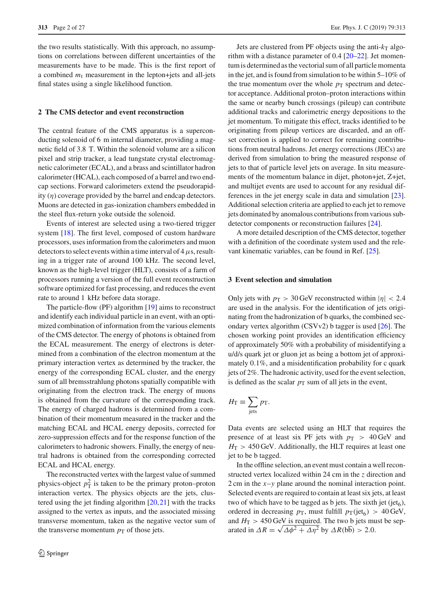the two results statistically. With this approach, no assumptions on correlations between different uncertainties of the

measurements have to be made. This is the first report of a combined  $m_t$  measurement in the lepton+jets and all-jets final states using a single likelihood function.

#### **2 The CMS detector and event reconstruction**

The central feature of the CMS apparatus is a superconducting solenoid of 6 m internal diameter, providing a magnetic field of 3.8 T. Within the solenoid volume are a silicon pixel and strip tracker, a lead tungstate crystal electromagnetic calorimeter (ECAL), and a brass and scintillator hadron calorimeter (HCAL), each composed of a barrel and two endcap sections. Forward calorimeters extend the pseudorapidity  $(\eta)$  coverage provided by the barrel and endcap detectors. Muons are detected in gas-ionization chambers embedded in the steel flux-return yoke outside the solenoid.

Events of interest are selected using a two-tiered trigger system [\[18](#page-12-1)]. The first level, composed of custom hardware processors, uses information from the calorimeters and muon detectors to select events within a time interval of  $4 \mu s$ , resulting in a trigger rate of around 100 kHz. The second level, known as the high-level trigger (HLT), consists of a farm of processors running a version of the full event reconstruction software optimized for fast processing, and reduces the event rate to around 1 kHz before data storage.

The particle-flow (PF) algorithm [\[19\]](#page-12-2) aims to reconstruct and identify each individual particle in an event, with an optimized combination of information from the various elements of the CMS detector. The energy of photons is obtained from the ECAL measurement. The energy of electrons is determined from a combination of the electron momentum at the primary interaction vertex as determined by the tracker, the energy of the corresponding ECAL cluster, and the energy sum of all bremsstrahlung photons spatially compatible with originating from the electron track. The energy of muons is obtained from the curvature of the corresponding track. The energy of charged hadrons is determined from a combination of their momentum measured in the tracker and the matching ECAL and HCAL energy deposits, corrected for zero-suppression effects and for the response function of the calorimeters to hadronic showers. Finally, the energy of neutral hadrons is obtained from the corresponding corrected ECAL and HCAL energy.

The reconstructed vertex with the largest value of summed physics-object  $p_{\rm T}^2$  is taken to be the primary proton–proton interaction vertex. The physics objects are the jets, clustered using the jet finding algorithm [\[20](#page-12-3)[,21](#page-12-4)] with the tracks assigned to the vertex as inputs, and the associated missing transverse momentum, taken as the negative vector sum of the transverse momentum  $p<sub>T</sub>$  of those jets.

Jets are clustered from PF objects using the anti- $k<sub>T</sub>$  algorithm with a distance parameter of 0.4 [\[20](#page-12-3)[–22](#page-12-5)]. Jet momentum is determined as the vectorial sum of all particle momenta in the jet, and is found from simulation to be within 5–10% of the true momentum over the whole  $p<sub>T</sub>$  spectrum and detector acceptance. Additional proton–proton interactions within the same or nearby bunch crossings (pileup) can contribute additional tracks and calorimetric energy depositions to the jet momentum. To mitigate this effect, tracks identified to be originating from pileup vertices are discarded, and an offset correction is applied to correct for remaining contributions from neutral hadrons. Jet energy corrections (JECs) are derived from simulation to bring the measured response of jets to that of particle level jets on average. In situ measurements of the momentum balance in dijet, photon+jet, Z+jet, and multijet events are used to account for any residual differences in the jet energy scale in data and simulation [\[23](#page-12-6)]. Additional selection criteria are applied to each jet to remove jets dominated by anomalous contributions from various subdetector components or reconstruction failures [\[24](#page-12-7)].

A more detailed description of the CMS detector, together with a definition of the coordinate system used and the relevant kinematic variables, can be found in Ref. [\[25\]](#page-12-8).

#### <span id="page-1-0"></span>**3 Event selection and simulation**

Only jets with  $p_T > 30$  GeV reconstructed within  $|\eta| < 2.4$ are used in the analysis. For the identification of jets originating from the hadronization of b quarks, the combined secondary vertex algorithm (CSVv2) b tagger is used [\[26\]](#page-12-9). The chosen working point provides an identification efficiency of approximately 50% with a probability of misidentifying a u/d/s quark jet or gluon jet as being a bottom jet of approximately 0.1%, and a misidentification probability for c quark jets of 2%. The hadronic activity, used for the event selection, is defined as the scalar  $p<sub>T</sub>$  sum of all jets in the event,

$$
H_{\rm T} \equiv \sum_{\rm jets} p_{\rm T}.
$$

Data events are selected using an HLT that requires the presence of at least six PF jets with  $p_T > 40$  GeV and  $H_{\rm T}$  > 450 GeV. Additionally, the HLT requires at least one jet to be b tagged.

In the offline selection, an event must contain a well reconstructed vertex localized within 24 cm in the *z* direction and 2 cm in the *x*–*y* plane around the nominal interaction point. Selected events are required to contain at least six jets, at least two of which have to be tagged as b jets. The sixth jet (jet<sub>6</sub>), ordered in decreasing  $p_T$ , must fulfill  $p_T(\text{jet}_6) > 40 \text{ GeV}$ , and  $H_T > 450 \,\text{GeV}$  is required. The two b jets must be sepand  $H_1 > 456$  det is required. The two b jets the arated in  $\Delta R = \sqrt{\Delta \phi^2 + \Delta \eta^2}$  by  $\Delta R(b\bar{b}) > 2.0$ .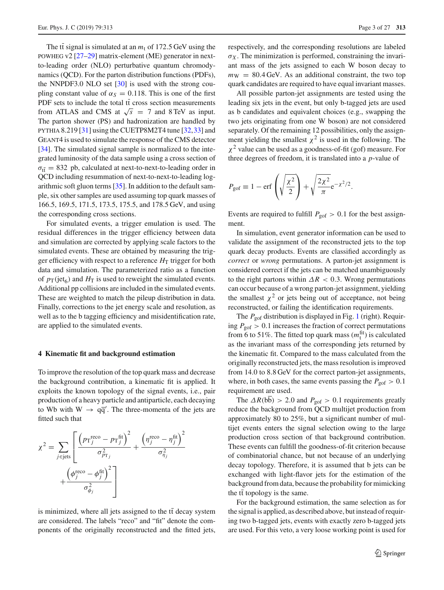The tt signal is simulated at an  $m<sub>t</sub>$  of 172.5 GeV using the powheg v2 [\[27](#page-12-10)[–29](#page-12-11)] matrix-element (ME) generator in nextto-leading order (NLO) perturbative quantum chromodynamics (QCD). For the parton distribution functions (PDFs), the NNPDF3.0 NLO set  $[30]$  $[30]$  is used with the strong coupling constant value of  $\alpha_S = 0.118$ . This is one of the first PDF sets to include the total  $t\bar{t}$  cross section measurements from ATLAS and CMS at  $\sqrt{s}$  = 7 and 8 TeV as input. The parton shower (PS) and hadronization are handled by pythia 8.219 [\[31](#page-12-13)] using the CUETP8M2T4 tune [\[32,](#page-12-14)[33\]](#page-12-15) and Geant4 is used to simulate the response of the CMS detector [\[34](#page-12-16)]. The simulated signal sample is normalized to the integrated luminosity of the data sample using a cross section of  $\sigma_{\text{t}} = 832$  pb, calculated at next-to-next-to-leading order in QCD including resummation of next-to-next-to-leading logarithmic soft gluon terms [\[35\]](#page-12-17). In addition to the default sample, six other samples are used assuming top quark masses of 166.5, 169.5, 171.5, 173.5, 175.5, and 178.5 GeV, and using the corresponding cross sections.

For simulated events, a trigger emulation is used. The residual differences in the trigger efficiency between data and simulation are corrected by applying scale factors to the simulated events. These are obtained by measuring the trigger efficiency with respect to a reference  $H<sub>T</sub>$  trigger for both data and simulation. The parameterized ratio as a function of  $p_T(\text{jet}_6)$  and  $H_T$  is used to reweight the simulated events. Additional pp collisions are included in the simulated events. These are weighted to match the pileup distribution in data. Finally, corrections to the jet energy scale and resolution, as well as to the b tagging efficiency and misidentification rate, are applied to the simulated events.

#### **4 Kinematic fit and background estimation**

To improve the resolution of the top quark mass and decrease the background contribution, a kinematic fit is applied. It exploits the known topology of the signal events, i.e., pair production of a heavy particle and antiparticle, each decaying to Wb with  $W \rightarrow q\bar{q}'$ . The three-momenta of the jets are fitted such that

$$
\chi^{2} = \sum_{j \in \text{jets}} \left[ \frac{\left( p_{\text{T}_{j}}^{\text{reco}} - p_{\text{T}_{j}}^{\text{fit}} \right)^{2}}{\sigma_{p_{\text{T}_{j}}}^{2}} + \frac{\left( \eta_{j}^{\text{reco}} - \eta_{j}^{\text{fit}} \right)^{2}}{\sigma_{\eta_{j}}^{2}} + \frac{\left( \phi_{j}^{\text{reco}} - \phi_{j}^{\text{fit}} \right)^{2}}{\sigma_{\phi_{j}}^{2}} \right]
$$

is minimized, where all jets assigned to the  $t\bar{t}$  decay system are considered. The labels "reco" and "fit" denote the components of the originally reconstructed and the fitted jets, respectively, and the corresponding resolutions are labeled  $\sigma_X$ . The minimization is performed, constraining the invariant mass of the jets assigned to each W boson decay to  $m_{\rm W} = 80.4$  GeV. As an additional constraint, the two top quark candidates are required to have equal invariant masses.

All possible parton-jet assignments are tested using the leading six jets in the event, but only b-tagged jets are used as b candidates and equivalent choices (e.g., swapping the two jets originating from one W boson) are not considered separately. Of the remaining 12 possibilities, only the assignment yielding the smallest  $\chi^2$  is used in the following. The  $\chi^2$  value can be used as a goodness-of-fit (gof) measure. For three degrees of freedom, it is translated into a *p*-value of

$$
P_{\text{gof}} \equiv 1 - \text{erf}\left(\sqrt{\frac{\chi^2}{2}}\right) + \sqrt{\frac{2\chi^2}{\pi}} e^{-\chi^2/2}.
$$

Events are required to fulfill  $P_{\text{gof}} > 0.1$  for the best assignment.

In simulation, event generator information can be used to validate the assignment of the reconstructed jets to the top quark decay products. Events are classified accordingly as *correct* or *wrong* permutations. A parton-jet assignment is considered correct if the jets can be matched unambiguously to the right partons within  $\Delta R < 0.3$ . Wrong permutations can occur because of a wrong parton-jet assignment, yielding the smallest  $\chi^2$  or jets being out of acceptance, not being reconstructed, or failing the identification requirements.

The  $P_{\text{gof}}$  distribution is displayed in Fig. [1](#page-3-0) (right). Requiring  $P_{\text{gof}} > 0.1$  increases the fraction of correct permutations from 6 to 51%. The fitted top quark mass  $(m_t^{\text{fit}})$  is calculated as the invariant mass of the corresponding jets returned by the kinematic fit. Compared to the mass calculated from the originally reconstructed jets, the mass resolution is improved from 14.0 to 8.8 GeV for the correct parton-jet assignments, where, in both cases, the same events passing the  $P_{\text{gof}} > 0.1$ requirement are used.

The  $\Delta R(b\overline{b}) > 2.0$  and  $P_{\text{gof}} > 0.1$  requirements greatly reduce the background from QCD multijet production from approximately 80 to 25%, but a significant number of multijet events enters the signal selection owing to the large production cross section of that background contribution. These events can fulfill the goodness-of-fit criterion because of combinatorial chance, but not because of an underlying decay topology. Therefore, it is assumed that b jets can be exchanged with light-flavor jets for the estimation of the background from data, because the probability for mimicking the tt topology is the same.

For the background estimation, the same selection as for the signal is applied, as described above, but instead of requiring two b-tagged jets, events with exactly zero b-tagged jets are used. For this veto, a very loose working point is used for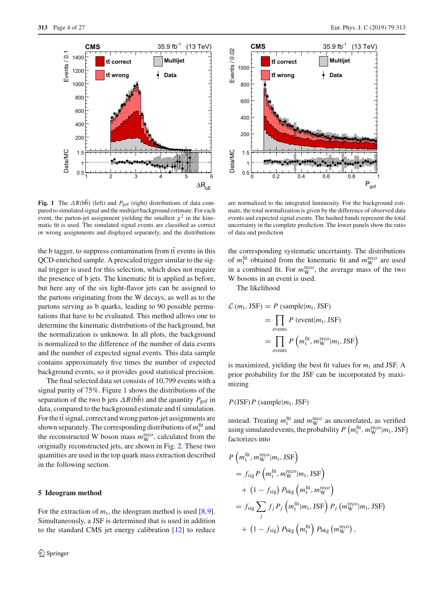

<span id="page-3-0"></span>**Fig. 1** The  $\Delta R(b\overline{b})$  (left) and  $P_{\text{gof}}$  (right) distributions of data compared to simulated signal and the multijet background estimate. For each event, the parton-jet assignment yielding the smallest  $\chi^2$  in the kinematic fit is used. The simulated signal events are classified as correct or wrong assignments and displayed separately, and the distributions

the b tagger, to suppress contamination from  $t\bar{t}$  events in this QCD-enriched sample. A prescaled trigger similar to the signal trigger is used for this selection, which does not require the presence of b jets. The kinematic fit is applied as before, but here any of the six light-flavor jets can be assigned to the partons originating from the W decays, as well as to the partons serving as b quarks, leading to 90 possible permutations that have to be evaluated. This method allows one to determine the kinematic distributions of the background, but the normalization is unknown. In all plots, the background is normalized to the difference of the number of data events and the number of expected signal events. This data sample contains approximately five times the number of expected background events, so it provides good statistical precision.

The final selected data set consists of 10,799 events with a signal purity of 75%. Figure [1](#page-3-0) shows the distributions of the separation of the two b jets  $\Delta R(b\overline{b})$  and the quantity  $P_{\text{gof}}$  in data, compared to the background estimate and  $t\bar{t}$  simulation. For the tt signal, correct and wrong parton-jet assignments are shown separately. The corresponding distributions of  $m_t^{\text{fit}}$  and the reconstructed W boson mass  $m_{\rm W}^{\rm reco}$ , calculated from the originally reconstructed jets, are shown in Fig. [2.](#page-4-0) These two quantities are used in the top quark mass extraction described in the following section.

#### **5 Ideogram method**

For the extraction of  $m_t$ , the ideogram method is used [\[8](#page-11-6)[,9](#page-11-7)]. Simultaneously, a JSF is determined that is used in addition to the standard CMS jet energy calibration [\[12](#page-11-11)] to reduce



are normalized to the integrated luminosity. For the background estimate, the total normalization is given by the difference of observed data events and expected signal events. The hashed bands represent the total uncertainty in the complete prediction. The lower panels show the ratio of data and prediction

the corresponding systematic uncertainty. The distributions of  $m_t^{\text{fit}}$  obtained from the kinematic fit and  $m_W^{\text{reco}}$  are used in a combined fit. For  $m_{\rm W}^{\rm reco}$ , the average mass of the two W bosons in an event is used.

The likelihood

$$
\mathcal{L}(m_t, JSF) = P \text{ (sample|} m_t, JSF) \n= \prod_{\text{events}} P \text{ (event|m_t, JSF)} \n= \prod_{\text{events}} P \left( m_t^{\text{fit}}, m_W^{\text{reco}} | m_t, JSF \right)
$$

is maximized, yielding the best fit values for  $m_t$  and JSF. A prior probability for the JSF can be incorporated by maximizing

$$
P(JSF)P
$$
 (sample|m<sub>t</sub>, JSF)

instead. Treating  $m_t^{\text{fit}}$  and  $m_W^{\text{reco}}$  as uncorrelated, as verified using simulated events, the probability  $P\left(m_t^{\text{fit}}, m_W^{\text{reco}}|m_t, \text{JSF}\right)$ factorizes into

$$
P\left(m_t^{\text{fit}}, m_W^{\text{reco}}|m_t, \text{JSF}\right)
$$
  
=  $f_{\text{sig}} P\left(m_t^{\text{fit}}, m_W^{\text{reco}}|m_t, \text{JSF}\right)$   
+  $(1 - f_{\text{sig}}) P_{\text{bkg}}\left(m_t^{\text{fit}}, m_W^{\text{reco}}\right)$   
=  $f_{\text{sig}} \sum_j f_j P_j \left(m_t^{\text{fit}}|m_t, \text{JSF}\right) P_j \left(m_W^{\text{reco}}|m_t, \text{JSF}\right)$   
+  $(1 - f_{\text{sig}}) P_{\text{bkg}}\left(m_t^{\text{fit}}\right) P_{\text{bkg}}\left(m_W^{\text{reco}}\right),$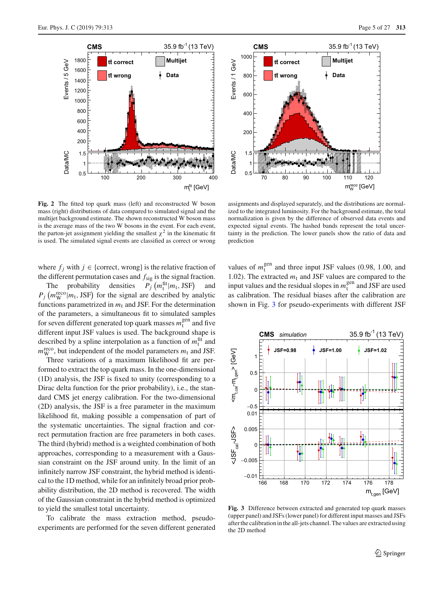

1000



**CMS** 35.9 fb<sup>-1</sup> (13 TeV)

**tt correct**

<span id="page-4-0"></span>**Fig. 2** The fitted top quark mass (left) and reconstructed W boson mass (right) distributions of data compared to simulated signal and the multijet background estimate. The shown reconstructed W boson mass is the average mass of the two W bosons in the event. For each event, the parton-jet assignment yielding the smallest  $\chi^2$  in the kinematic fit is used. The simulated signal events are classified as correct or wrong

where  $f_j$  with  $j \in \{correct, wrong\}$  is the relative fraction of the different permutation cases and *f*sig is the signal fraction.

The probability densities  $P_j\left(m_t^{\text{fit}}|m_t, \text{JSF}\right)$  and  $P_j$  ( $m_{\rm W}^{\rm reco}$  |*m*<sub>t</sub>, JSF) for the signal are described by analytic functions parametrized in  $m_t$  and JSF. For the determination of the parameters, a simultaneous fit to simulated samples for seven different generated top quark masses  $m_t^{\text{gen}}$  and five different input JSF values is used. The background shape is described by a spline interpolation as a function of  $m_t^{\text{fit}}$  and  $m_{\rm W}^{\rm reco}$ , but independent of the model parameters  $m_{\rm t}$  and JSF.

Three variations of a maximum likelihood fit are performed to extract the top quark mass. In the one-dimensional (1D) analysis, the JSF is fixed to unity (corresponding to a Dirac delta function for the prior probability), i.e., the standard CMS jet energy calibration. For the two-dimensional (2D) analysis, the JSF is a free parameter in the maximum likelihood fit, making possible a compensation of part of the systematic uncertainties. The signal fraction and correct permutation fraction are free parameters in both cases. The third (hybrid) method is a weighted combination of both approaches, corresponding to a measurement with a Gaussian constraint on the JSF around unity. In the limit of an infinitely narrow JSF constraint, the hybrid method is identical to the 1D method, while for an infinitely broad prior probability distribution, the 2D method is recovered. The width of the Gaussian constraint in the hybrid method is optimized to yield the smallest total uncertainty.

To calibrate the mass extraction method, pseudoexperiments are performed for the seven different generated **Multijet**

assignments and displayed separately, and the distributions are normalized to the integrated luminosity. For the background estimate, the total normalization is given by the difference of observed data events and expected signal events. The hashed bands represent the total uncertainty in the prediction. The lower panels show the ratio of data and prediction

values of  $m_t^{\text{gen}}$  and three input JSF values (0.98, 1.00, and 1.02). The extracted  $m_t$  and JSF values are compared to the input values and the residual slopes in  $m_t^{\text{gen}}$  and JSF are used as calibration. The residual biases after the calibration are shown in Fig. [3](#page-4-1) for pseudo-experiments with different JSF



<span id="page-4-1"></span>**Fig. 3** Difference between extracted and generated top quark masses (upper panel) and JSFs (lower panel) for different input masses and JSFs after the calibration in the all-jets channel. The values are extracted using the 2D method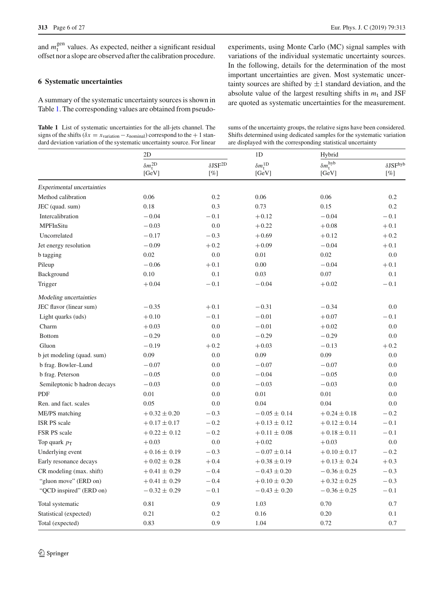and  $m_t^{\text{gen}}$  values. As expected, neither a significant residual offset nor a slope are observed after the calibration procedure.

#### **6 Systematic uncertainties**

A summary of the systematic uncertainty sources is shown in Table [1.](#page-5-0) The corresponding values are obtained from pseudo-

<span id="page-5-0"></span>**Table 1** List of systematic uncertainties for the all-jets channel. The signs of the shifts ( $\delta x = x_{\text{variation}} - x_{\text{nominal}}$ ) correspond to the + 1 standard deviation variation of the systematic uncertainty source. For linear

experiments, using Monte Carlo (MC) signal samples with variations of the individual systematic uncertainty sources. In the following, details for the determination of the most important uncertainties are given. Most systematic uncertainty sources are shifted by  $\pm 1$  standard deviation, and the absolute value of the largest resulting shifts in  $m_t$  and JSF are quoted as systematic uncertainties for the measurement.

sums of the uncertainty groups, the relative signs have been considered. Shifts determined using dedicated samples for the systematic variation are displayed with the corresponding statistical uncertainty

|                                   | 2D                                   |                                       | 1D                                   | Hybrid                                      |                                    |
|-----------------------------------|--------------------------------------|---------------------------------------|--------------------------------------|---------------------------------------------|------------------------------------|
|                                   | $\delta m_{\rm t}^{\rm 2D}$<br>[GeV] | $\delta\text{JSF}^{\text{2D}}$<br>[%] | $\delta m_{\rm t}^{\rm 1D}$<br>[GeV] | $\delta m_\mathrm{t}^\mathrm{hyb}$<br>[GeV] | $\delta \mathrm{JSF^{hyb}}$<br>[%] |
| <b>Experimental uncertainties</b> |                                      |                                       |                                      |                                             |                                    |
| Method calibration                | 0.06                                 | 0.2                                   | 0.06                                 | 0.06                                        | 0.2                                |
| JEC (quad. sum)                   | 0.18                                 | 0.3                                   | 0.73                                 | 0.15                                        | 0.2                                |
| Intercalibration                  | $-0.04$                              | $-0.1$                                | $+0.12$                              | $-0.04$                                     | $-0.1$                             |
| MPFInSitu                         | $-0.03$                              | 0.0                                   | $+0.22$                              | $+0.08$                                     | $+0.1$                             |
| Uncorrelated                      | $-0.17$                              | $-0.3$                                | $+0.69$                              | $+0.12$                                     | $+0.2$                             |
| Jet energy resolution             | $-0.09$                              | $+0.2$                                | $+0.09$                              | $-0.04$                                     | $+0.1$                             |
| b tagging                         | 0.02                                 | 0.0                                   | 0.01                                 | 0.02                                        | 0.0                                |
| Pileup                            | $-0.06$                              | $+0.1$                                | 0.00                                 | $-0.04$                                     | $+0.1$                             |
| Background                        | 0.10                                 | 0.1                                   | 0.03                                 | 0.07                                        | 0.1                                |
| Trigger                           | $+0.04$                              | $-0.1$                                | $-0.04$                              | $+0.02$                                     | $-0.1$                             |
| Modeling uncertainties            |                                      |                                       |                                      |                                             |                                    |
| JEC flavor (linear sum)           | $-0.35$                              | $+0.1$                                | $-0.31$                              | $-0.34$                                     | 0.0                                |
| Light quarks (uds)                | $+0.10$                              | $-0.1$                                | $-0.01$                              | $+0.07$                                     | $-0.1$                             |
| Charm                             | $+0.03$                              | $0.0\,$                               | $-0.01$                              | $+0.02$                                     | $0.0\,$                            |
| <b>Bottom</b>                     | $-0.29$                              | 0.0                                   | $-0.29$                              | $-0.29$                                     | 0.0                                |
| Gluon                             | $-0.19$                              | $+0.2$                                | $+0.03$                              | $-0.13$                                     | $+0.2$                             |
| b jet modeling (quad. sum)        | 0.09                                 | 0.0                                   | 0.09                                 | 0.09                                        | 0.0                                |
| b frag. Bowler-Lund               | $-0.07$                              | 0.0                                   | $-0.07$                              | $-0.07$                                     | 0.0                                |
| b frag. Peterson                  | $-0.05$                              | 0.0                                   | $-0.04$                              | $-0.05$                                     | 0.0                                |
| Semileptonic b hadron decays      | $-0.03$                              | 0.0                                   | $-0.03$                              | $-0.03$                                     | 0.0                                |
| PDF                               | 0.01                                 | 0.0                                   | 0.01                                 | 0.01                                        | 0.0                                |
| Ren. and fact. scales             | 0.05                                 | 0.0                                   | 0.04                                 | 0.04                                        | 0.0                                |
| ME/PS matching                    | $+0.32 \pm 0.20$                     | $-0.3$                                | $-0.05 \pm 0.14$                     | $+0.24 \pm 0.18$                            | $-0.2$                             |
| ISR PS scale                      | $+0.17 \pm 0.17$                     | $-0.2$                                | $+0.13 \pm 0.12$                     | $+0.12 \pm 0.14$                            | $-0.1$                             |
| FSR PS scale                      | $+0.22 \pm 0.12$                     | $-0.2$                                | $+0.11 \pm 0.08$                     | $+0.18 \pm 0.11$                            | $-0.1$                             |
| Top quark $p_T$                   | $+0.03$                              | 0.0                                   | $+0.02$                              | $+0.03$                                     | 0.0                                |
| Underlying event                  | $+0.16 \pm 0.19$                     | $-0.3$                                | $-0.07 \pm 0.14$                     | $+0.10 \pm 0.17$                            | $-0.2$                             |
| Early resonance decays            | $+0.02 \pm 0.28$                     | $+0.4$                                | $+0.38 \pm 0.19$                     | $+0.13 \pm 0.24$                            | $+0.3$                             |
| CR modeling (max. shift)          | $+0.41 \pm 0.29$                     | $-0.4$                                | $-0.43 \pm 0.20$                     | $-0.36 \pm 0.25$                            | $-0.3$                             |
| "gluon move" (ERD on)             | $+0.41 \pm 0.29$                     | $-0.4$                                | $+0.10 \pm 0.20$                     | $+0.32 \pm 0.25$                            | $-0.3$                             |
| "QCD inspired" (ERD on)           | $-0.32 \pm 0.29$                     | $-0.1$                                | $-0.43 \pm 0.20$                     | $-0.36 \pm 0.25$                            | $-0.1$                             |
| Total systematic                  | 0.81                                 | 0.9                                   | 1.03                                 | 0.70                                        | 0.7                                |
| Statistical (expected)            | 0.21                                 | 0.2                                   | 0.16                                 | 0.20                                        | 0.1                                |
| Total (expected)                  | 0.83                                 | 0.9                                   | 1.04                                 | 0.72                                        | 0.7                                |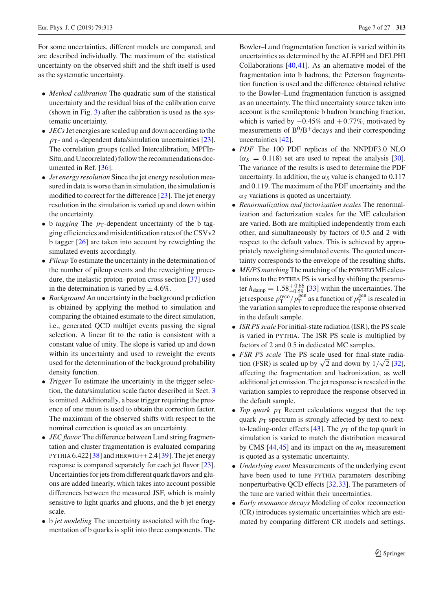For some uncertainties, different models are compared, and are described individually. The maximum of the statistical uncertainty on the observed shift and the shift itself is used as the systematic uncertainty.

- *Method calibration* The quadratic sum of the statistical uncertainty and the residual bias of the calibration curve (shown in Fig. [3\)](#page-4-1) after the calibration is used as the systematic uncertainty.
- *JECs*Jet energies are scaled up and down according to the  $p_T$ - and  $\eta$ -dependent data/simulation uncertainties [\[23](#page-12-6)]. The correlation groups (called Intercalibration, MPFIn-Situ, and Uncorrelated) follow the recommendations documented in Ref. [\[36\]](#page-12-18).
- *Jet energy resolution* Since the jet energy resolution measured in data is worse than in simulation, the simulation is modified to correct for the difference [\[23](#page-12-6)]. The jet energy resolution in the simulation is varied up and down within the uncertainty.
- b *tagging* The  $p_T$ -dependent uncertainty of the b tagging efficiencies and misidentification rates of the CSVv2 b tagger [\[26](#page-12-9)] are taken into account by reweighting the simulated events accordingly.
- *Pileup* To estimate the uncertainty in the determination of the number of pileup events and the reweighting procedure, the inelastic proton–proton cross section [\[37](#page-12-19)] used in the determination is varied by  $\pm 4.6\%$ .
- *Background* An uncertainty in the background prediction is obtained by applying the method to simulation and comparing the obtained estimate to the direct simulation, i.e., generated QCD multijet events passing the signal selection. A linear fit to the ratio is consistent with a constant value of unity. The slope is varied up and down within its uncertainty and used to reweight the events used for the determination of the background probability density function.
- *Trigger* To estimate the uncertainty in the trigger selection, the data/simulation scale factor described in Sect. [3](#page-1-0) is omitted. Additionally, a base trigger requiring the presence of one muon is used to obtain the correction factor. The maximum of the observed shifts with respect to the nominal correction is quoted as an uncertainty.
- *JEC flavor* The difference between Lund string fragmentation and cluster fragmentation is evaluated comparing PYTHIA  $6.422$  [\[38\]](#page-12-20) and HERWIG++ 2.4 [\[39\]](#page-12-21). The jet energy response is compared separately for each jet flavor [\[23](#page-12-6)]. Uncertainties for jets from different quark flavors and gluons are added linearly, which takes into account possible differences between the measured JSF, which is mainly sensitive to light quarks and gluons, and the b jet energy scale.
- b *jet modeling* The uncertainty associated with the fragmentation of b quarks is split into three components. The

Bowler–Lund fragmentation function is varied within its uncertainties as determined by the ALEPH and DELPHI Collaborations [\[40,](#page-12-22)[41\]](#page-12-23). As an alternative model of the fragmentation into b hadrons, the Peterson fragmentation function is used and the difference obtained relative to the Bowler–Lund fragmentation function is assigned as an uncertainty. The third uncertainty source taken into account is the semileptonic b hadron branching fraction, which is varied by  $-0.45\%$  and  $+0.77\%$ , motivated by measurements of  $B^0/B^+$ decays and their corresponding uncertainties [\[42\]](#page-12-24).

- *PDF* The 100 PDF replicas of the NNPDF3.0 NLO  $(\alpha_S = 0.118)$  set are used to repeat the analysis [\[30](#page-12-12)]. The variance of the results is used to determine the PDF uncertainty. In addition, the  $\alpha_s$  value is changed to 0.117 and 0.119. The maximum of the PDF uncertainty and the  $\alpha$ <sup>*s*</sup> variations is quoted as uncertainty.
- *Renormalization and factorization scales* The renormalization and factorization scales for the ME calculation are varied. Both are multiplied independently from each other, and simultaneously by factors of 0.5 and 2 with respect to the default values. This is achieved by appropriately reweighting simulated events. The quoted uncertainty corresponds to the envelope of the resulting shifts.
- *ME/PS matching* The matching of the POWHEG ME calculations to the PYTHIA PS is varied by shifting the parameter  $h_{\text{damp}} = 1.58^{+0.66}_{-0.59}$  [\[33\]](#page-12-15) within the uncertainties. The jet response  $p_T^{\text{reco}}/p_T^{\text{gen}}$  as a function of  $p_T^{\text{gen}}$  is rescaled in the variation samples to reproduce the response observed in the default sample.
- *ISR PS scale* For initial-state radiation (ISR), the PS scale is varied in pythia. The ISR PS scale is multiplied by factors of 2 and 0.5 in dedicated MC samples.
- *FSR PS scale* The PS scale used for final-state radiation (FSR) is scaled up by  $\sqrt{2}$  and down by  $1/\sqrt{2}$  [\[32](#page-12-14)], affecting the fragmentation and hadronization, as well additional jet emission. The jet response is rescaled in the variation samples to reproduce the response observed in the default sample.
- *Top quark*  $p_T$  Recent calculations suggest that the top quark  $p_T$  spectrum is strongly affected by next-to-nextto-leading-order effects  $[43]$  $[43]$ . The  $p<sub>T</sub>$  of the top quark in simulation is varied to match the distribution measured by CMS  $[44, 45]$  $[44, 45]$  and its impact on the  $m_t$  measurement is quoted as a systematic uncertainty.
- *Underlying event* Measurements of the underlying event have been used to tune PYTHIA parameters describing nonperturbative QCD effects [\[32](#page-12-14)[,33](#page-12-15)]. The parameters of the tune are varied within their uncertainties.
- *Early resonance decays* Modeling of color reconnection (CR) introduces systematic uncertainties which are estimated by comparing different CR models and settings.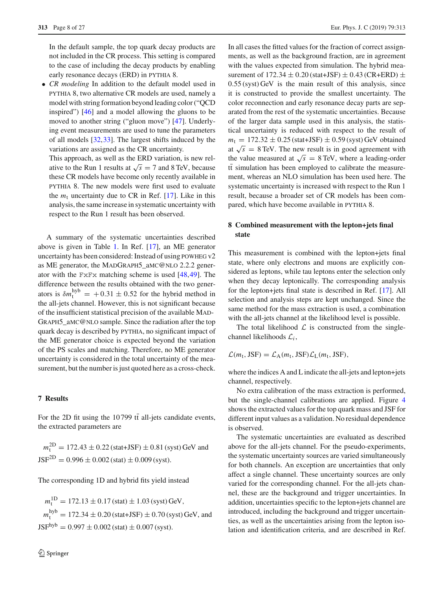In the default sample, the top quark decay products are not included in the CR process. This setting is compared to the case of including the decay products by enabling early resonance decays (ERD) in PYTHIA 8.

• *CR modeling* In addition to the default model used in pythia 8, two alternative CR models are used, namely a model with string formation beyond leading color ("QCD inspired") [\[46\]](#page-12-28) and a model allowing the gluons to be moved to another string ("gluon move") [\[47](#page-12-29)]. Underlying event measurements are used to tune the parameters of all models [\[32](#page-12-14)[,33](#page-12-15)]. The largest shifts induced by the variations are assigned as the CR uncertainty.

This approach, as well as the ERD variation, is new relative to the Run 1 results at  $\sqrt{s} = 7$  and 8 TeV, because these CR models have become only recently available in pythia 8. The new models were first used to evaluate the  $m_t$  uncertainty due to CR in Ref. [\[17](#page-12-0)]. Like in this analysis, the same increase in systematic uncertainty with respect to the Run 1 result has been observed.

A summary of the systematic uncertainties described above is given in Table [1.](#page-5-0) In Ref. [\[17\]](#page-12-0), an ME generator uncertainty has been considered: Instead of using powheg v2 as ME generator, the MADGRAPH5\_aMC@NLO 2.2.2 generator with the  $FxFx$  matching scheme is used  $[48,49]$  $[48,49]$  $[48,49]$ . The difference between the results obtained with the two generators is  $\delta m_{t}^{\text{hyb}} = +0.31 \pm 0.52$  for the hybrid method in the all-jets channel. However, this is not significant because of the insufficient statistical precision of the available MAD-GRAPH5\_aMC@NLO sample. Since the radiation after the top quark decay is described by pythia, no significant impact of the ME generator choice is expected beyond the variation of the PS scales and matching. Therefore, no ME generator uncertainty is considered in the total uncertainty of the measurement, but the number is just quoted here as a cross-check.

#### **7 Results**

For the 2D fit using the 10799  $t\bar{t}$  all-jets candidate events, the extracted parameters are

 $m_t^{\text{2D}} = 172.43 \pm 0.22$  (stat+JSF)  $\pm$  0.81 (syst) GeV and  $JSF^{2D} = 0.996 \pm 0.002$  (stat)  $\pm 0.009$  (syst).

The corresponding 1D and hybrid fits yield instead

$$
m_t^{\text{1D}} = 172.13 \pm 0.17 \text{ (stat)} \pm 1.03 \text{ (syst) GeV},
$$
  
\n
$$
m_t^{\text{hyb}} = 172.34 \pm 0.20 \text{ (stat+JSF)} \pm 0.70 \text{ (syst) GeV, and}
$$
  
\n
$$
JSF^{\text{hyb}} = 0.997 \pm 0.002 \text{ (stat)} \pm 0.007 \text{ (syst)}.
$$

In all cases the fitted values for the fraction of correct assignments, as well as the background fraction, are in agreement with the values expected from simulation. The hybrid measurement of  $172.34 \pm 0.20$  (stat+JSF)  $\pm$  0.43 (CR+ERD)  $\pm$ 0.55 (syst) GeV is the main result of this analysis, since it is constructed to provide the smallest uncertainty. The color reconnection and early resonance decay parts are separated from the rest of the systematic uncertainties. Because of the larger data sample used in this analysis, the statistical uncertainty is reduced with respect to the result of  $m_t = 172.32 \pm 0.25$  (stat+JSF)  $\pm 0.59$  (syst) GeV obtained at  $\sqrt{s}$  = 8 TeV. The new result is in good agreement with the value measured at  $\sqrt{s} = 8$  TeV, where a leading-order tt simulation has been employed to calibrate the measurement, whereas an NLO simulation has been used here. The systematic uncertainty is increased with respect to the Run 1 result, because a broader set of CR models has been compared, which have become available in PYTHIA 8.

#### **8 Combined measurement with the lepton+jets final state**

This measurement is combined with the lepton+jets final state, where only electrons and muons are explicitly considered as leptons, while tau leptons enter the selection only when they decay leptonically. The corresponding analysis for the lepton+jets final state is described in Ref. [\[17](#page-12-0)]. All selection and analysis steps are kept unchanged. Since the same method for the mass extraction is used, a combination with the all-jets channel at the likelihood level is possible.

The total likelihood  $\mathcal L$  is constructed from the singlechannel likelihoods  $\mathcal{L}_i$ ,

 $\mathcal{L}(m_t, JSF) = \mathcal{L}_A(m_t, JSF)\mathcal{L}_L(m_t, JSF),$ 

where the indices A and L indicate the all-jets and lepton+jets channel, respectively.

No extra calibration of the mass extraction is performed, but the single-channel calibrations are applied. Figure [4](#page-8-0) shows the extracted values for the top quark mass and JSF for different input values as a validation. No residual dependence is observed.

The systematic uncertainties are evaluated as described above for the all-jets channel. For the pseudo-experiments, the systematic uncertainty sources are varied simultaneously for both channels. An exception are uncertainties that only affect a single channel. These uncertainty sources are only varied for the corresponding channel. For the all-jets channel, these are the background and trigger uncertainties. In addition, uncertainties specific to the lepton+jets channel are introduced, including the background and trigger uncertainties, as well as the uncertainties arising from the lepton isolation and identification criteria, and are described in Ref.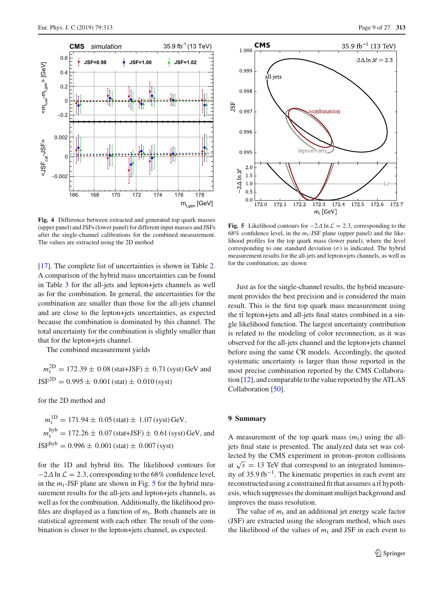

<span id="page-8-0"></span>**Fig. 4** Difference between extracted and generated top quark masses (upper panel) and JSFs (lower panel) for different input masses and JSFs after the single-channel calibrations for the combined measurement. The values are extracted using the 2D method

[\[17](#page-12-0)]. The complete list of uncertainties is shown in Table [2.](#page-9-0) A comparison of the hybrid mass uncertainties can be found in Table [3](#page-10-0) for the all-jets and lepton+jets channels as well as for the combination. In general, the uncertainties for the combination are smaller than those for the all-jets channel and are close to the lepton+jets uncertainties, as expected because the combination is dominated by this channel. The total uncertainty for the combination is slightly smaller than that for the lepton+jets channel.

The combined measurement yields

 $m_t^{\text{2D}} = 172.39 \pm 0.08 \text{ (stat+JSF)} \pm 0.71 \text{ (syst) GeV and}$  $JSF^{2D} = 0.995 \pm 0.001$  (stat)  $\pm 0.010$  (syst)

for the 2D method and

$$
m_t^{\text{1D}} = 171.94 \pm 0.05 \text{ (stat)} \pm 1.07 \text{ (syst)} \text{ GeV},
$$
  
\n
$$
m_t^{\text{hyb}} = 172.26 \pm 0.07 \text{ (stat+JSF)} \pm 0.61 \text{ (syst)} \text{ GeV, and}
$$
  
\n
$$
\text{JSF}^{\text{hyb}} = 0.996 \pm 0.001 \text{ (stat)} \pm 0.007 \text{ (syst)}
$$

for the 1D and hybrid fits. The likelihood contours for  $-2\Delta \ln \mathcal{L} = 2.3$ , corresponding to the 68% confidence level, in the  $m_t$ -JSF plane are shown in Fig. [5](#page-8-1) for the hybrid measurement results for the all-jets and lepton+jets channels, as well as for the combination. Additionally, the likelihood profiles are displayed as a function of  $m_t$ . Both channels are in statistical agreement with each other. The result of the combination is closer to the lepton+jets channel, as expected.



<span id="page-8-1"></span>**Fig. 5** Likelihood contours for  $-2\Delta \ln \mathcal{L} = 2.3$ , corresponding to the 68% confidence level, in the  $m_t$ -JSF plane (upper panel) and the likelihood profiles for the top quark mass (lower panel), where the level corresponding to one standard deviation  $(\sigma)$  is indicated. The hybrid measurement results for the all-jets and lepton+jets channels, as well as for the combination, are shown

Just as for the single-channel results, the hybrid measurement provides the best precision and is considered the main result. This is the first top quark mass measurement using the  $t\bar{t}$  lepton+jets and all-jets final states combined in a single likelihood function. The largest uncertainty contribution is related to the modeling of color reconnection, as it was observed for the all-jets channel and the lepton+jets channel before using the same CR models. Accordingly, the quoted systematic uncertainty is larger than those reported in the most precise combination reported by the CMS Collaboration [\[12](#page-11-11)], and comparable to the value reported by the ATLAS Collaboration [\[50\]](#page-12-32).

#### **9 Summary**

A measurement of the top quark mass  $(m_t)$  using the alljets final state is presented. The analyzed data set was collected by the CMS experiment in proton–proton collisions at  $\sqrt{s}$  = 13 TeV that correspond to an integrated luminosity of 35.9 fb<sup>−1</sup>. The kinematic properties in each event are reconstructed using a constrained fit that assumes a  $t\bar{t}$  hypothesis, which suppresses the dominant multijet background and improves the mass resolution.

The value of  $m_t$  and an additional jet energy scale factor (JSF) are extracted using the ideogram method, which uses the likelihood of the values of  $m_t$  and JSF in each event to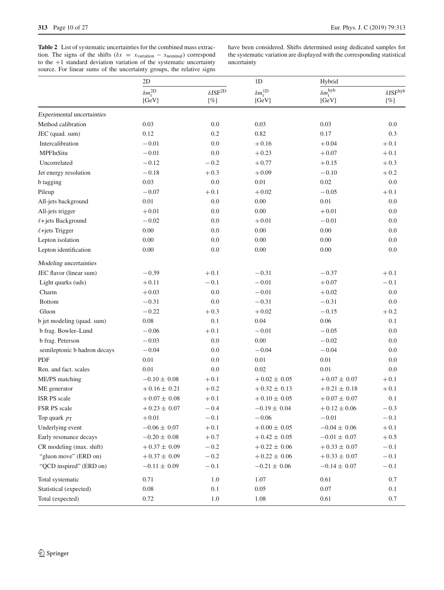<span id="page-9-0"></span>**Table 2** List of systematic uncertainties for the combined mass extraction. The signs of the shifts ( $\delta x = x_{\text{variation}} - x_{\text{nominal}}$ ) correspond to the +1 standard deviation variation of the systematic uncertainty source. For linear sums of the uncertainty groups, the relative signs have been considered. Shifts determined using dedicated samples for the systematic variation are displayed with the corresponding statistical uncertainty

|                                   | 2D                                   |                                | 1D                                   | Hybrid                                |                                              |
|-----------------------------------|--------------------------------------|--------------------------------|--------------------------------------|---------------------------------------|----------------------------------------------|
|                                   | $\delta m_{\rm t}^{\rm 2D}$<br>[GeV] | $\delta\text{JSF}^{\text{2D}}$ | $\delta m_{\rm t}^{\rm 1D}$<br>[GeV] | $\delta m_{\rm t}^{\rm hyb}$<br>[GeV] | $\delta \mathrm{JSF}^\mathrm{hyb}$<br>$[\%]$ |
|                                   |                                      | $[\%]$                         |                                      |                                       |                                              |
| <b>Experimental uncertainties</b> |                                      |                                |                                      |                                       |                                              |
| Method calibration                | 0.03                                 | 0.0                            | 0.03                                 | 0.03                                  | $0.0\,$                                      |
| JEC (quad. sum)                   | 0.12                                 | 0.2                            | 0.82                                 | 0.17                                  | 0.3                                          |
| Intercalibration                  | $-0.01$                              | 0.0                            | $+0.16$                              | $+0.04$                               | $+0.1$                                       |
| MPFInSitu                         | $-0.01$                              | 0.0                            | $+0.23$                              | $+0.07$                               | $+0.1$                                       |
| Uncorrelated                      | $-0.12$                              | $-0.2$                         | $+0.77$                              | $+0.15$                               | $+0.3$                                       |
| Jet energy resolution             | $-0.18$                              | $+0.3$                         | $+0.09$                              | $-0.10$                               | $+0.2$                                       |
| b tagging                         | 0.03                                 | 0.0                            | 0.01                                 | 0.02                                  | 0.0                                          |
| Pileup                            | $-0.07$                              | $+0.1$                         | $+0.02$                              | $-0.05$                               | $+0.1$                                       |
| All-jets background               | $0.01\,$                             | 0.0                            | $0.00\,$                             | 0.01                                  | $0.0\,$                                      |
| All-jets trigger                  | $+0.01$                              | 0.0                            | 0.00                                 | $+0.01$                               | 0.0                                          |
| $\ell$ + jets Background          | $-0.02$                              | 0.0                            | $+0.01$                              | $-0.01$                               | 0.0                                          |
| $\ell$ +jets Trigger              | $0.00\,$                             | 0.0                            | $0.00\,$                             | 0.00                                  | 0.0                                          |
| Lepton isolation                  | $0.00\,$                             | 0.0                            | $0.00\,$                             | 0.00                                  | 0.0                                          |
| Lepton identification             | 0.00                                 | 0.0                            | $0.00\,$                             | 0.00                                  | 0.0                                          |
| Modeling uncertainties            |                                      |                                |                                      |                                       |                                              |
| JEC flavor (linear sum)           | $-0.39$                              | $+0.1$                         | $-0.31$                              | $-0.37$                               | $+0.1$                                       |
| Light quarks (uds)                | $+0.11$                              | $-0.1$                         | $-0.01$                              | $+0.07$                               | $-0.1$                                       |
| Charm                             | $+0.03$                              | 0.0                            | $-0.01$                              | $+0.02$                               | $0.0\,$                                      |
| <b>Bottom</b>                     | $-0.31$                              | 0.0                            | $-0.31$                              | $-0.31$                               | $0.0\,$                                      |
| Gluon                             | $-0.22$                              | $+0.3$                         | $+0.02$                              | $-0.15$                               | $+0.2$                                       |
| b jet modeling (quad. sum)        | $0.08\,$                             | 0.1                            | 0.04                                 | 0.06                                  | 0.1                                          |
| b frag. Bowler-Lund               | $-0.06$                              | $+0.1$                         | $-0.01$                              | $-0.05$                               | $0.0\,$                                      |
| b frag. Peterson                  | $-0.03$                              | 0.0                            | 0.00                                 | $-0.02$                               | 0.0                                          |
| semileptonic b hadron decays      | $-0.04$                              | 0.0                            | $-0.04$                              | $-0.04$                               | 0.0                                          |
| PDF                               | $0.01\,$                             | 0.0                            | 0.01                                 | 0.01                                  | 0.0                                          |
| Ren. and fact. scales             | 0.01                                 | 0.0                            | 0.02                                 | 0.01                                  | 0.0                                          |
| ME/PS matching                    | $-0.10 \pm 0.08$                     | $+0.1$                         | $+0.02 \pm 0.05$                     | $+0.07 \pm 0.07$                      | $+0.1$                                       |
| ME generator                      | $+0.16 \pm 0.21$                     | $+0.2$                         | $+0.32 \pm 0.13$                     | $+0.21 \pm 0.18$                      | $+0.1$                                       |
| ISR PS scale                      | $+0.07 \pm 0.08$                     | $+0.1$                         | $+0.10 \pm 0.05$                     | $+0.07 \pm 0.07$                      | 0.1                                          |
| FSR PS scale                      | $+0.23 \pm 0.07$                     | $-0.4$                         | $-0.19 \pm 0.04$                     | $+0.12 \pm 0.06$                      | $-0.3$                                       |
| Top quark $p_T$                   | $+0.01$                              | $\,-\,0.1$                     | $-0.06$                              | $-0.01$                               | $-0.1$                                       |
| Underlying event                  | $-0.06 \pm 0.07$                     | $+0.1$                         | $+0.00 \pm 0.05$                     | $-0.04 \pm 0.06$                      | $+\,0.1$                                     |
| Early resonance decays            | $-0.20 \pm 0.08$                     | $+0.7$                         | $+0.42 \pm 0.05$                     | $-0.01 \pm 0.07$                      | $+0.5$                                       |
| CR modeling (max. shift)          | $+0.37 \pm 0.09$                     | $-0.2$                         | $+0.22 \pm 0.06$                     | $+ \,0.33\pm\,0.07$                   | $-0.1$                                       |
| "gluon move" (ERD on)             | $+0.37 \pm 0.09$                     | $-\,0.2$                       | $+0.22 \pm 0.06$                     | $+0.33 \pm 0.07$                      | $\,-\,0.1$                                   |
| "QCD inspired" (ERD on)           | $-0.11 \pm 0.09$                     | $\,-\,0.1$                     | $-0.21 \pm 0.06$                     | $-0.14 \pm 0.07$                      | $-0.1$                                       |
| Total systematic                  | 0.71                                 | 1.0                            | 1.07                                 | 0.61                                  | 0.7                                          |
| Statistical (expected)            | 0.08                                 | $0.1\,$                        | 0.05                                 | 0.07                                  | 0.1                                          |
| Total (expected)                  | $0.72\,$                             | 1.0                            | 1.08                                 | 0.61                                  | 0.7                                          |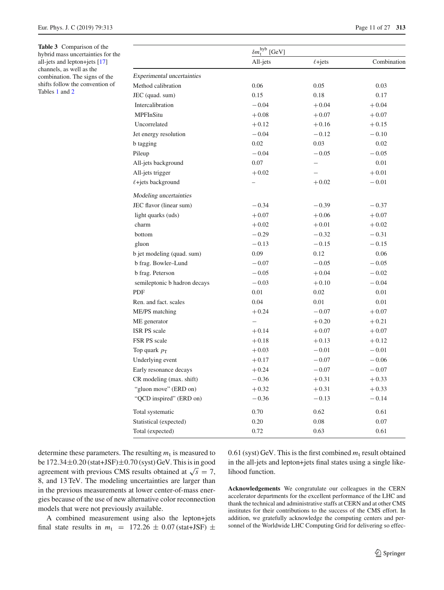<span id="page-10-0"></span>**Table 3** Comparison of the hybrid mass uncertainties for the all-jets and lepton+jets [\[17\]](#page-12-0) channels, as well as the combination. The signs of the shifts follow the convention of Tables [1](#page-5-0) and [2](#page-9-0)

 $\overline{\phantom{a}}$ 

|                                   | $\delta m_{\rm t}^{\rm hyb}$ [GeV] |              |             |  |
|-----------------------------------|------------------------------------|--------------|-------------|--|
|                                   | All-jets                           | $\ell$ +jets | Combination |  |
| <b>Experimental uncertainties</b> |                                    |              |             |  |
| Method calibration                | 0.06                               | 0.05         | 0.03        |  |
| JEC (quad. sum)                   | 0.15                               | 0.18         | 0.17        |  |
| Intercalibration                  | $-0.04$                            | $+0.04$      | $+0.04$     |  |
| MPFInSitu                         | $+0.08$                            | $+0.07$      | $+0.07$     |  |
| Uncorrelated                      | $+0.12$                            | $+0.16$      | $+0.15$     |  |
| Jet energy resolution             | $-0.04$                            | $-0.12$      | $-0.10$     |  |
| b tagging                         | 0.02                               | 0.03         | 0.02        |  |
| Pileup                            | $-0.04$                            | $-0.05$      | $-0.05$     |  |
| All-jets background               | 0.07                               |              | 0.01        |  |
| All-jets trigger                  | $+0.02$                            |              | $+0.01$     |  |
| l+jets background                 |                                    | $+0.02$      | $-0.01$     |  |
| Modeling uncertainties            |                                    |              |             |  |
| JEC flavor (linear sum)           | $-0.34$                            | $-0.39$      | $-0.37$     |  |
| light quarks (uds)                | $+0.07$                            | $+0.06$      | $+0.07$     |  |
| charm                             | $+0.02$                            | $+0.01$      | $+0.02$     |  |
| bottom                            | $-0.29$                            | $-0.32$      | $-0.31$     |  |
| gluon                             | $-0.13$                            | $-0.15$      | $-0.15$     |  |
| b jet modeling (quad. sum)        | 0.09                               | 0.12         | 0.06        |  |
| b frag. Bowler-Lund               | $-0.07$                            | $-0.05$      | $-0.05$     |  |
| b frag. Peterson                  | $-0.05$                            | $+0.04$      | $-0.02$     |  |
| semileptonic b hadron decays      | $-0.03$                            | $+0.10$      | $-0.04$     |  |
| PDF                               | 0.01                               | 0.02         | 0.01        |  |
| Ren. and fact. scales             | 0.04                               | 0.01         | 0.01        |  |
| ME/PS matching                    | $+0.24$                            | $-0.07$      | $+0.07$     |  |
| ME generator                      |                                    | $+0.20$      | $+0.21$     |  |
| ISR PS scale                      | $+0.14$                            | $+0.07$      | $+0.07$     |  |
| FSR PS scale                      | $+0.18$                            | $+0.13$      | $+0.12$     |  |
| Top quark $p_T$                   | $+0.03$                            | $-0.01$      | $-0.01$     |  |
| Underlying event                  | $+0.17$                            | $-0.07$      | $-0.06$     |  |
| Early resonance decays            | $+0.24$                            | $-0.07$      | $-0.07$     |  |
| CR modeling (max. shift)          | $-0.36$                            | $+0.31$      | $+0.33$     |  |
| "gluon move" (ERD on)             | $+0.32$                            | $+0.31$      | $+0.33$     |  |
| "QCD inspired" (ERD on)           | $-0.36$                            | $-0.13$      | $-0.14$     |  |
| Total systematic                  | 0.70                               | 0.62         | 0.61        |  |
| Statistical (expected)            | 0.20                               | 0.08         | 0.07        |  |
| Total (expected)                  | 0.72                               | 0.63         | 0.61        |  |

determine these parameters. The resulting  $m_t$  is measured to be  $172.34\pm0.20$  (stat+JSF) $\pm0.70$  (syst) GeV. This is in good agreement with previous CMS results obtained at  $\sqrt{s} = 7$ , 8, and 13 TeV. The modeling uncertainties are larger than in the previous measurements at lower center-of-mass energies because of the use of new alternative color reconnection models that were not previously available.

A combined measurement using also the lepton+jets final state results in  $m_t$  = 172.26  $\pm$  0.07 (stat+JSF)  $\pm$  0.61 (syst) GeV. This is the first combined  $m_t$  result obtained in the all-jets and lepton+jets final states using a single likelihood function.

**Acknowledgements** We congratulate our colleagues in the CERN accelerator departments for the excellent performance of the LHC and thank the technical and administrative staffs at CERN and at other CMS institutes for their contributions to the success of the CMS effort. In addition, we gratefully acknowledge the computing centers and personnel of the Worldwide LHC Computing Grid for delivering so effec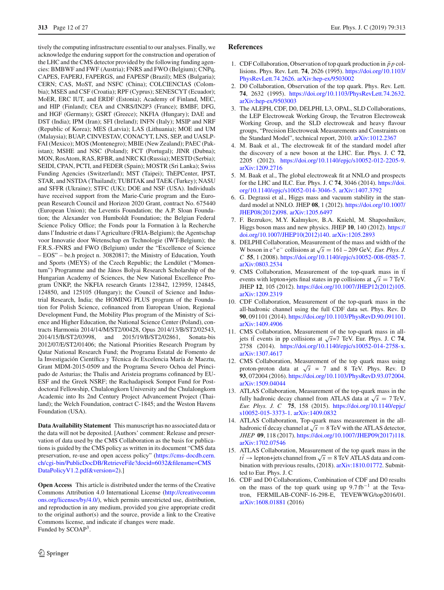tively the computing infrastructure essential to our analyses. Finally, we acknowledge the enduring support for the construction and operation of the LHC and the CMS detector provided by the following funding agencies: BMBWF and FWF (Austria); FNRS and FWO (Belgium); CNPq, CAPES, FAPERJ, FAPERGS, and FAPESP (Brazil); MES (Bulgaria); CERN; CAS, MoST, and NSFC (China); COLCIENCIAS (Colombia); MSES and CSF (Croatia); RPF (Cyprus); SENESCYT (Ecuador); MoER, ERC IUT, and ERDF (Estonia); Academy of Finland, MEC, and HIP (Finland); CEA and CNRS/IN2P3 (France); BMBF, DFG, and HGF (Germany); GSRT (Greece); NKFIA (Hungary); DAE and DST (India); IPM (Iran); SFI (Ireland); INFN (Italy); MSIP and NRF (Republic of Korea); MES (Latvia); LAS (Lithuania); MOE and UM (Malaysia); BUAP, CINVESTAV, CONACYT, LNS, SEP, and UASLP-FAI (Mexico); MOS (Montenegro); MBIE (New Zealand); PAEC (Pakistan); MSHE and NSC (Poland); FCT (Portugal); JINR (Dubna); MON, RosAtom, RAS, RFBR, and NRC KI (Russia); MESTD (Serbia); SEIDI, CPAN, PCTI, and FEDER (Spain); MOSTR (Sri Lanka); Swiss Funding Agencies (Switzerland); MST (Taipei); ThEPCenter, IPST, STAR, and NSTDA (Thailand); TUBITAK and TAEK (Turkey); NASU and SFFR (Ukraine); STFC (UK); DOE and NSF (USA). Individuals have received support from the Marie-Curie program and the European Research Council and Horizon 2020 Grant, contract No. 675440 (European Union); the Leventis Foundation; the A.P. Sloan Foundation; the Alexander von Humboldt Foundation; the Belgian Federal Science Policy Office; the Fonds pour la Formation à la Recherche dans l'Industrie et dans l'Agriculture (FRIA-Belgium); the Agentschap voor Innovatie door Wetenschap en Technologie (IWT-Belgium); the F.R.S.-FNRS and FWO (Belgium) under the "Excellence of Science – EOS" – be.h project n. 30820817; the Ministry of Education, Youth and Sports (MEYS) of the Czech Republic; the Lendület ("Momentum") Programme and the János Bolyai Research Scholarship of the Hungarian Academy of Sciences, the New National Excellence Program ÚNKP, the NKFIA research Grants 123842, 123959, 124845, 124850, and 125105 (Hungary); the Council of Science and Industrial Research, India; the HOMING PLUS program of the Foundation for Polish Science, cofinanced from European Union, Regional Development Fund, the Mobility Plus program of the Ministry of Science and Higher Education, the National Science Center (Poland), contracts Harmonia 2014/14/M/ST2/00428, Opus 2014/13/B/ST2/02543, 2014/15/B/ST2/03998, and 2015/19/B/ST2/02861, Sonata-bis 2012/07/E/ST2/01406; the National Priorities Research Program by Qatar National Research Fund; the Programa Estatal de Fomento de la Investigación Científica y Técnica de Excelencia María de Maeztu, Grant MDM-2015-0509 and the Programa Severo Ochoa del Principado de Asturias; the Thalis and Aristeia programs cofinanced by EU-ESF and the Greek NSRF; the Rachadapisek Sompot Fund for Postdoctoral Fellowship, Chulalongkorn University and the Chulalongkorn Academic into Its 2nd Century Project Advancement Project (Thailand); the Welch Foundation, contract C-1845; and the Weston Havens Foundation (USA).

**Data Availability Statement** This manuscript has no associated data or the data will not be deposited. [Authors' comment: Release and preservation of data used by the CMS Collaboration as the basis for publications is guided by the CMS policy as written in its document "CMS data preservation, re-use and open access policy" [\(https://cms-docdb.cern.](https://cms-docdb.cern.ch/cgi-bin/PublicDocDB/RetrieveFile?docid=6032&filename=CMSDataPolicyV1.2.pdf&version=2) [ch/cgi-bin/PublicDocDB/RetrieveFile?docid=6032&filename=CMS](https://cms-docdb.cern.ch/cgi-bin/PublicDocDB/RetrieveFile?docid=6032&filename=CMSDataPolicyV1.2.pdf&version=2) [DataPolicyV1.2.pdf&version=2\)](https://cms-docdb.cern.ch/cgi-bin/PublicDocDB/RetrieveFile?docid=6032&filename=CMSDataPolicyV1.2.pdf&version=2).]

**Open Access** This article is distributed under the terms of the Creative Commons Attribution 4.0 International License [\(http://creativecomm](http://creativecommons.org/licenses/by/4.0/) [ons.org/licenses/by/4.0/\)](http://creativecommons.org/licenses/by/4.0/), which permits unrestricted use, distribution, and reproduction in any medium, provided you give appropriate credit to the original author(s) and the source, provide a link to the Creative Commons license, and indicate if changes were made. Funded by SCOAP3.

#### $\textcircled{2}$  Springer

#### **References**

- <span id="page-11-0"></span>1. CDF Collaboration, Observation of top quark production in  $\bar{p}p$  collisions. Phys. Rev. Lett. **74**, 2626 (1995). [https://doi.org/10.1103/](https://doi.org/10.1103/PhysRevLett.74.2626) [PhysRevLett.74.2626.](https://doi.org/10.1103/PhysRevLett.74.2626) [arXiv:hep-ex/9503002](http://arxiv.org/abs/hep-ex/9503002)
- <span id="page-11-1"></span>2. D0 Collaboration, Observation of the top quark. Phys. Rev. Lett. **74**, 2632 (1995). [https://doi.org/10.1103/PhysRevLett.74.2632.](https://doi.org/10.1103/PhysRevLett.74.2632) [arXiv:hep-ex/9503003](http://arxiv.org/abs/hep-ex/9503003)
- <span id="page-11-2"></span>3. The ALEPH, CDF, D0, DELPHI, L3, OPAL, SLD Collaborations, the LEP Electroweak Working Group, the Tevatron Electroweak Working Group, and the SLD electroweak and heavy flavour groups, "Precision Electroweak Measurements and Constraints on the Standard Model", technical report, 2010. [arXiv:1012.2367](http://arxiv.org/abs/1012.2367)
- 4. M. Baak et al., The electroweak fit of the standard model after the discovery of a new boson at the LHC. Eur. Phys. J. C **72**, 2205 (2012). [https://doi.org/10.1140/epjc/s10052-012-2205-9.](https://doi.org/10.1140/epjc/s10052-012-2205-9) [arXiv:1209.2716](http://arxiv.org/abs/1209.2716)
- <span id="page-11-3"></span>5. M. Baak et al., The global electroweak fit at NNLO and prospects for the LHC and ILC. Eur. Phys. J. C **74**, 3046 (2014). [https://doi.](https://doi.org/10.1140/epjc/s10052-014-3046-5) [org/10.1140/epjc/s10052-014-3046-5.](https://doi.org/10.1140/epjc/s10052-014-3046-5) [arXiv:1407.3792](http://arxiv.org/abs/1407.3792)
- <span id="page-11-4"></span>6. G. Degrassi et al., Higgs mass and vacuum stability in the standard model at NNLO. JHEP **08**, 1 (2012). [https://doi.org/10.1007/](https://doi.org/10.1007/JHEP08(2012)098) [JHEP08\(2012\)098.](https://doi.org/10.1007/JHEP08(2012)098) [arXiv:1205.6497](http://arxiv.org/abs/1205.6497)
- <span id="page-11-5"></span>7. F. Bezrukov, M.Y. Kalmykov, B.A. Kniehl, M. Shaposhnikov, Higgs boson mass and new physics. JHEP **10**, 140 (2012). [https://](https://doi.org/10.1007/JHEP10(2012)140) [doi.org/10.1007/JHEP10\(2012\)140.](https://doi.org/10.1007/JHEP10(2012)140) [arXiv:1205.2893](http://arxiv.org/abs/1205.2893)
- <span id="page-11-6"></span>8. DELPHI Collaboration, Measurement of the mass and width of the W boson in  $e^+e^-$  collisions at  $\sqrt{s} = 161 - 209$  GeV, *Eur. Phys. J. C* **55**, 1 (2008). [https://doi.org/10.1140/epjc/s10052-008-0585-7.](https://doi.org/10.1140/epjc/s10052-008-0585-7) [arXiv:0803.2534](http://arxiv.org/abs/0803.2534)
- <span id="page-11-7"></span>9. CMS Collaboration, Measurement of the top-quark mass in tt events with lepton+jets final states in pp collisions at  $\sqrt{s} = 7$  TeV. JHEP **12**, 105 (2012). [https://doi.org/10.1007/JHEP12\(2012\)105.](https://doi.org/10.1007/JHEP12(2012)105) [arXiv:1209.2319](http://arxiv.org/abs/1209.2319)
- <span id="page-11-8"></span>10. CDF Collaboration, Measurement of the top-quark mass in the all-hadronic channel using the full CDF data set. Phys. Rev. D **90**, 091101 (2014). [https://doi.org/10.1103/PhysRevD.90.091101.](https://doi.org/10.1103/PhysRevD.90.091101) [arXiv:1409.4906](http://arxiv.org/abs/1409.4906)
- 11. CMS Collaboration, Measurement of the top-quark mass in alljets tt events in pp collisions at  $\sqrt{s}$ =7 TeV. Eur. Phys. J. C **74**, 2758 (2014). [https://doi.org/10.1140/epjc/s10052-014-2758-x.](https://doi.org/10.1140/epjc/s10052-014-2758-x) [arXiv:1307.4617](http://arxiv.org/abs/1307.4617)
- <span id="page-11-11"></span>12. CMS Collaboration, Measurement of the top quark mass using proton-proton data at  $\sqrt{s}$  = 7 and 8 TeV. Phys. Rev. D **93**, 072004 (2016). [https://doi.org/10.1103/PhysRevD.93.072004.](https://doi.org/10.1103/PhysRevD.93.072004) [arXiv:1509.04044](http://arxiv.org/abs/1509.04044)
- 13. ATLAS Collaboration, Measurement of the top-quark mass in the fully hadronic decay channel from ATLAS data at  $\sqrt{s} = 7$  TeV, *Eur. Phys. J. C* **75**, 158 (2015). [https://doi.org/10.1140/epjc/](https://doi.org/10.1140/epjc/s10052-015-3373-1) [s10052-015-3373-1.](https://doi.org/10.1140/epjc/s10052-015-3373-1) [arXiv:1409.0832](http://arxiv.org/abs/1409.0832)
- <span id="page-11-9"></span>14. ATLAS Collaboration, Top-quark mass measurement in the allhadronic tt decay channel at  $\sqrt{s} = 8$  TeV with the ATLAS detector, *JHEP* **09**, 118 (2017). [https://doi.org/10.1007/JHEP09\(2017\)118.](https://doi.org/10.1007/JHEP09(2017)118) [arXiv:1702.07546](http://arxiv.org/abs/1702.07546)
- <span id="page-11-10"></span>15. ATLAS Collaboration, Measurement of the top quark mass in the  $t\bar{t} \rightarrow$  lepton+jets channel from  $\sqrt{s} = 8 \text{ TeV}$  ATLAS data and combination with previous results, (2018). [arXiv:1810.01772.](http://arxiv.org/abs/1810.01772) Submitted to Eur. Phys. J. C
- <span id="page-11-12"></span>16. CDF and D0 Collaborations, Combination of CDF and D0 results on the mass of the top quark using up 9.7 fb−<sup>1</sup> at the Tevatron, FERMILAB-CONF-16-298-E, TEVEWWG/top2016/01. [arXiv:1608.01881](http://arxiv.org/abs/1608.01881) (2016)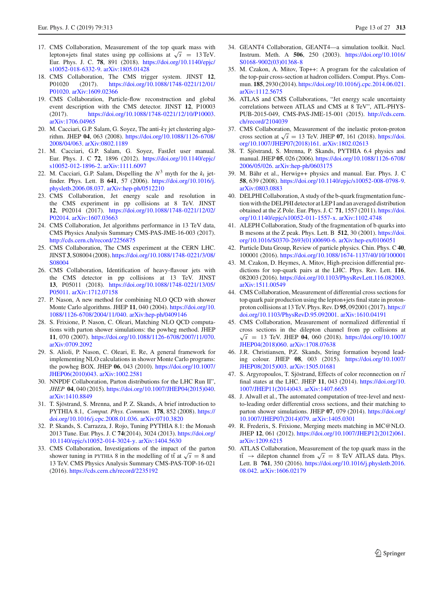- <span id="page-12-0"></span>17. CMS Collaboration, Measurement of the top quark mass with lepton+jets final states using pp collisions at  $\sqrt{s}$  = 13 TeV. Eur. Phys. J. C. **78**, 891 (2018). [https://doi.org/10.1140/epjc/](https://doi.org/10.1140/epjc/s10052-018-6332-9) [s10052-018-6332-9.](https://doi.org/10.1140/epjc/s10052-018-6332-9) [arXiv:1805.01428](http://arxiv.org/abs/1805.01428)
- <span id="page-12-1"></span>18. CMS Collaboration, The CMS trigger system. JINST **12**, P01020 (2017). [https://doi.org/10.1088/1748-0221/12/01/](https://doi.org/10.1088/1748-0221/12/01/P01020) [P01020.](https://doi.org/10.1088/1748-0221/12/01/P01020) [arXiv:1609.02366](http://arxiv.org/abs/1609.02366)
- <span id="page-12-2"></span>19. CMS Collaboration, Particle-flow reconstruction and global event description with the CMS detector. JINST **12**, P10003 (2017). [https://doi.org/10.1088/1748-0221/12/10/P10003.](https://doi.org/10.1088/1748-0221/12/10/P10003) [arXiv:1706.04965](http://arxiv.org/abs/1706.04965)
- <span id="page-12-3"></span>20. M. Cacciari, G.P. Salam, G. Soyez, The anti- $k_T$  jet clustering algorithm. JHEP **04**, 063 (2008). [https://doi.org/10.1088/1126-6708/](https://doi.org/10.1088/1126-6708/2008/04/063) [2008/04/063.](https://doi.org/10.1088/1126-6708/2008/04/063) [arXiv:0802.1189](http://arxiv.org/abs/0802.1189)
- <span id="page-12-4"></span>21. M. Cacciari, G.P. Salam, G. Soyez, FastJet user manual. Eur. Phys. J. C **72**, 1896 (2012). [https://doi.org/10.1140/epjc/](https://doi.org/10.1140/epjc/s10052-012-1896-2) [s10052-012-1896-2.](https://doi.org/10.1140/epjc/s10052-012-1896-2) [arXiv:1111.6097](http://arxiv.org/abs/1111.6097)
- <span id="page-12-5"></span>22. M. Cacciari, G.P. Salam, Dispelling the  $N^3$  myth for the  $k_t$  jetfinder. Phys. Lett. B **641**, 57 (2006). [https://doi.org/10.1016/j.](https://doi.org/10.1016/j.physletb.2006.08.037) [physletb.2006.08.037.](https://doi.org/10.1016/j.physletb.2006.08.037) [arXiv:hep-ph/0512210](http://arxiv.org/abs/hep-ph/0512210)
- <span id="page-12-6"></span>23. CMS Collaboration, Jet energy scale and resolution in the CMS experiment in pp collisions at 8 TeV. JINST **12**, P02014 (2017). [https://doi.org/10.1088/1748-0221/12/02/](https://doi.org/10.1088/1748-0221/12/02/P02014) [P02014.](https://doi.org/10.1088/1748-0221/12/02/P02014) [arXiv:1607.03663](http://arxiv.org/abs/1607.03663)
- <span id="page-12-7"></span>24. CMS Collaboration, Jet algorithms performance in 13 TeV data, CMS Physics Analysis Summary CMS-PAS-JME-16-003 (2017). <http://cds.cern.ch/record/2256875>
- <span id="page-12-8"></span>25. CMS Collaboration, The CMS experiment at the CERN LHC. JINST**3**, S08004 (2008). [https://doi.org/10.1088/1748-0221/3/08/](https://doi.org/10.1088/1748-0221/3/08/S08004) [S08004](https://doi.org/10.1088/1748-0221/3/08/S08004)
- <span id="page-12-9"></span>26. CMS Collaboration, Identification of heavy-flavour jets with the CMS detector in pp collisions at 13 TeV. JINST **13**, P05011 (2018). [https://doi.org/10.1088/1748-0221/13/05/](https://doi.org/10.1088/1748-0221/13/05/P05011) [P05011.](https://doi.org/10.1088/1748-0221/13/05/P05011) [arXiv:1712.07158](http://arxiv.org/abs/1712.07158)
- <span id="page-12-10"></span>27. P. Nason, A new method for combining NLO QCD with shower Monte Carlo algorithms. JHEP **11**, 040 (2004). [https://doi.org/10.](https://doi.org/10.1088/1126-6708/2004/11/040) [1088/1126-6708/2004/11/040.](https://doi.org/10.1088/1126-6708/2004/11/040) [arXiv:hep-ph/0409146](http://arxiv.org/abs/hep-ph/0409146)
- 28. S. Frixione, P. Nason, C. Oleari, Matching NLO QCD computations with parton shower simulations: the powheg method. JHEP **11**, 070 (2007). [https://doi.org/10.1088/1126-6708/2007/11/070.](https://doi.org/10.1088/1126-6708/2007/11/070) [arXiv:0709.2092](http://arxiv.org/abs/0709.2092)
- <span id="page-12-11"></span>29. S. Alioli, P. Nason, C. Oleari, E. Re, A general framework for implementing NLO calculations in shower Monte Carlo programs: the powheg BOX. JHEP **06**, 043 (2010). [https://doi.org/10.1007/](https://doi.org/10.1007/JHEP06(2010)043) [JHEP06\(2010\)043.](https://doi.org/10.1007/JHEP06(2010)043) [arXiv:1002.2581](http://arxiv.org/abs/1002.2581)
- <span id="page-12-12"></span>30. NNPDF Collaboration, Parton distributions for the LHC Run II", *JHEP* **04**, 040 (2015). [https://doi.org/10.1007/JHEP04\(2015\)040.](https://doi.org/10.1007/JHEP04(2015)040) [arXiv:1410.8849](http://arxiv.org/abs/1410.8849)
- <span id="page-12-13"></span>31. T. Sjöstrand, S. Mrenna, and P. Z. Skands, A brief introduction to PYTHIA 8.1, *Comput. Phys. Commun.* **178**, 852 (2008). [https://](https://doi.org/10.1016/j.cpc.2008.01.036) [doi.org/10.1016/j.cpc.2008.01.036.](https://doi.org/10.1016/j.cpc.2008.01.036) [arXiv:0710.3820](http://arxiv.org/abs/0710.3820)
- <span id="page-12-14"></span>32. P. Skands, S. Carrazza, J. Rojo, Tuning PYTHIA 8.1: the Monash 2013 Tune. Eur. Phys. J. C **74**(2014), 3024 (2013). [https://doi.org/](https://doi.org/10.1140/epjc/s10052-014-3024-y) [10.1140/epjc/s10052-014-3024-y.](https://doi.org/10.1140/epjc/s10052-014-3024-y) [arXiv:1404.5630](http://arxiv.org/abs/1404.5630)
- <span id="page-12-15"></span>33. CMS Collaboration, Investigations of the impact of the parton shower tuning in PYTHIA 8 in the modelling of tt at  $\sqrt{s} = 8$  and 13 TeV. CMS Physics Analysis Summary CMS-PAS-TOP-16-021 (2016). <https://cds.cern.ch/record/2235192>
- <span id="page-12-16"></span>34. GEANT4 Collaboration, GEANT4—a simulation toolkit. Nucl. Instrum. Meth. A **506**, 250 (2003). [https://doi.org/10.1016/](https://doi.org/10.1016/S0168-9002(03)01368-8) [S0168-9002\(03\)01368-8](https://doi.org/10.1016/S0168-9002(03)01368-8)
- <span id="page-12-17"></span>35. M. Czakon, A. Mitov, Top++: A program for the calculation of the top-pair cross-section at hadron colliders. Comput. Phys. Commun. **185**, 2930 (2014). [https://doi.org/10.1016/j.cpc.2014.06.021.](https://doi.org/10.1016/j.cpc.2014.06.021) [arXiv:1112.5675](http://arxiv.org/abs/1112.5675)
- <span id="page-12-18"></span>36. ATLAS and CMS Collaborations, "Jet energy scale uncertainty correlations between ATLAS and CMS at 8 TeV", ATL-PHYS-PUB-2015-049, CMS-PAS-JME-15-001 (2015). [http://cds.cern.](http://cds.cern.ch/record/2104039) [ch/record/2104039](http://cds.cern.ch/record/2104039)
- <span id="page-12-19"></span>37. CMS Collaboration, Measurement of the inelastic proton-proton cross section at  $\sqrt{s}$  = 13 TeV. JHEP 07, 161 (2018). [https://doi.](https://doi.org/10.1007/JHEP07(2018)161) [org/10.1007/JHEP07\(2018\)161.](https://doi.org/10.1007/JHEP07(2018)161) [arXiv:1802.02613](http://arxiv.org/abs/1802.02613)
- <span id="page-12-20"></span>38. T. Sjöstrand, S. Mrenna, P. Skands, PYTHIA 6.4 physics and manual. JHEP **05**, 026 (2006). [https://doi.org/10.1088/1126-6708/](https://doi.org/10.1088/1126-6708/2006/05/026) [2006/05/026.](https://doi.org/10.1088/1126-6708/2006/05/026) [arXiv:hep-ph/0603175](http://arxiv.org/abs/hep-ph/0603175)
- <span id="page-12-21"></span>39. M. Bähr et al., Herwig++ physics and manual. Eur. Phys. J. C **58**, 639 (2008). [https://doi.org/10.1140/epjc/s10052-008-0798-9.](https://doi.org/10.1140/epjc/s10052-008-0798-9) [arXiv:0803.0883](http://arxiv.org/abs/0803.0883)
- <span id="page-12-22"></span>40. DELPHI Collaboration, A study of the b-quark fragmentation function with the DELPHI detector at LEP I and an averaged distribution obtained at the Z Pole. Eur. Phys. J. C **71**, 1557 (2011). [https://doi.](https://doi.org/10.1140/epjc/s10052-011-1557-x) [org/10.1140/epjc/s10052-011-1557-x.](https://doi.org/10.1140/epjc/s10052-011-1557-x) [arXiv:1102.4748](http://arxiv.org/abs/1102.4748)
- <span id="page-12-23"></span>41. ALEPH Collaboration, Study of the fragmentation of b quarks into B mesons at the Z peak. Phys. Lett. B **512**, 30 (2001). [https://doi.](https://doi.org/10.1016/S0370-2693(01)00690-6) [org/10.1016/S0370-2693\(01\)00690-6.](https://doi.org/10.1016/S0370-2693(01)00690-6) [arXiv:hep-ex/0106051](http://arxiv.org/abs/hep-ex/0106051)
- <span id="page-12-24"></span>42. Particle Data Group, Review of particle physics. Chin. Phys. C **40**, 100001 (2016). <https://doi.org/10.1088/1674-1137/40/10/100001>
- <span id="page-12-25"></span>43. M. Czakon, D. Heymes, A. Mitov, High-precision differential predictions for top-quark pairs at the LHC. Phys. Rev. Lett. **116**, 082003 (2016). [https://doi.org/10.1103/PhysRevLett.116.082003.](https://doi.org/10.1103/PhysRevLett.116.082003) [arXiv:1511.00549](http://arxiv.org/abs/1511.00549)
- <span id="page-12-26"></span>44. CMS Collaboration, Measurement of differential cross sections for top quark pair production using the lepton+jets final state in protonproton collisions at 13 TeV. Phys. Rev. D **95**, 092001 (2017). [https://](https://doi.org/10.1103/PhysRevD.95.092001) [doi.org/10.1103/PhysRevD.95.092001.](https://doi.org/10.1103/PhysRevD.95.092001) [arXiv:1610.04191](http://arxiv.org/abs/1610.04191)
- <span id="page-12-27"></span>45. CMS Collaboration, Measurement of normalized differential tt cross sections in the dilepton channel from pp collisions at  $√s = 13$  TeV. JHEP **04**, 060 (2018). [https://doi.org/10.1007/](https://doi.org/10.1007/JHEP04(2018)060) [JHEP04\(2018\)060.](https://doi.org/10.1007/JHEP04(2018)060) [arXiv:1708.07638](http://arxiv.org/abs/1708.07638)
- <span id="page-12-28"></span>46. J.R. Christiansen, P.Z. Skands, String formation beyond leading colour. JHEP **08**, 003 (2015). [https://doi.org/10.1007/](https://doi.org/10.1007/JHEP08(2015)003) [JHEP08\(2015\)003.](https://doi.org/10.1007/JHEP08(2015)003) [arXiv:1505.01681](http://arxiv.org/abs/1505.01681)
- <span id="page-12-29"></span>47. S. Argyropoulos, T. Sjöstrand, Effects of color reconnection on  $t\bar{t}$ final states at the LHC. JHEP **11**, 043 (2014). [https://doi.org/10.](https://doi.org/10.1007/JHEP11(2014)043) [1007/JHEP11\(2014\)043.](https://doi.org/10.1007/JHEP11(2014)043) [arXiv:1407.6653](http://arxiv.org/abs/1407.6653)
- <span id="page-12-30"></span>48. J. Alwall et al., The automated computation of tree-level and nextto-leading order differential cross sections, and their matching to parton shower simulations. JHEP **07**, 079 (2014). [https://doi.org/](https://doi.org/10.1007/JHEP07(2014)079) [10.1007/JHEP07\(2014\)079.](https://doi.org/10.1007/JHEP07(2014)079) [arXiv:1405.0301](http://arxiv.org/abs/1405.0301)
- <span id="page-12-31"></span>49. R. Frederix, S. Frixione, Merging meets matching in MC@NLO. JHEP **12**, 061 (2012). [https://doi.org/10.1007/JHEP12\(2012\)061.](https://doi.org/10.1007/JHEP12(2012)061) [arXiv:1209.6215](http://arxiv.org/abs/1209.6215)
- <span id="page-12-32"></span>50. ATLAS Collaboration, Measurement of the top quark mass in the  $t\bar{t}$   $\rightarrow$  dilepton channel from  $\sqrt{s}$  = 8 TeV ATLAS data. Phys. Lett. B **761**, 350 (2016). [https://doi.org/10.1016/j.physletb.2016.](https://doi.org/10.1016/j.physletb.2016.08.042) [08.042.](https://doi.org/10.1016/j.physletb.2016.08.042) [arXiv:1606.02179](http://arxiv.org/abs/1606.02179)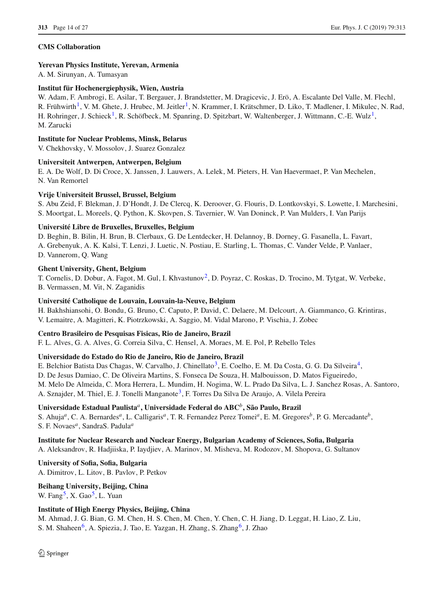# **CMS Collaboration**

## **Yerevan Physics Institute, Yerevan, Armenia**

A. M. Sirunyan, A. Tumasyan

## **Institut für Hochenergiephysik, Wien, Austria**

W. Adam, F. Ambrogi, E. Asilar, T. Bergauer, J. Brandstetter, M. Dragicevic, J. Erö, A. Escalante Del Valle, M. Flechl, R. Frühwirth<sup>1</sup>, V. M. Ghete, J. Hrubec, M. Jeitler<sup>1</sup>, N. Krammer, I. Krätschmer, D. Liko, T. Madlener, I. Mikulec, N. Rad, H. Rohringer, J. Schieck<sup>1</sup>, R. Schöfbeck, M. Spanring, D. Spitzbart, W. Waltenberger, J. Wittmann, C.-E. Wulz<sup>1</sup>, M. Zarucki

# **Institute for Nuclear Problems, Minsk, Belarus**

V. Chekhovsky, V. Mossolov, J. Suarez Gonzalez

# **Universiteit Antwerpen, Antwerpen, Belgium**

E. A. De Wolf, D. Di Croce, X. Janssen, J. Lauwers, A. Lelek, M. Pieters, H. Van Haevermaet, P. Van Mechelen, N. Van Remortel

# **Vrije Universiteit Brussel, Brussel, Belgium**

S. Abu Zeid, F. Blekman, J. D'Hondt, J. De Clercq, K. Deroover, G. Flouris, D. Lontkovskyi, S. Lowette, I. Marchesini, S. Moortgat, L. Moreels, Q. Python, K. Skovpen, S. Tavernier, W. Van Doninck, P. Van Mulders, I. Van Parijs

# **Université Libre de Bruxelles, Bruxelles, Belgium**

D. Beghin, B. Bilin, H. Brun, B. Clerbaux, G. De Lentdecker, H. Delannoy, B. Dorney, G. Fasanella, L. Favart, A. Grebenyuk, A. K. Kalsi, T. Lenzi, J. Luetic, N. Postiau, E. Starling, L. Thomas, C. Vander Velde, P. Vanlaer, D. Vannerom, Q. Wang

#### **Ghent University, Ghent, Belgium**

T. Cornelis, D. Dobur, A. Fagot, M. Gul, I. Khvastunov<sup>2</sup>, D. Poyraz, C. Roskas, D. Trocino, M. Tytgat, W. Verbeke, B. Vermassen, M. Vit, N. Zaganidis

#### **Université Catholique de Louvain, Louvain-la-Neuve, Belgium**

H. Bakhshiansohi, O. Bondu, G. Bruno, C. Caputo, P. David, C. Delaere, M. Delcourt, A. Giammanco, G. Krintiras, V. Lemaitre, A. Magitteri, K. Piotrzkowski, A. Saggio, M. Vidal Marono, P. Vischia, J. Zobec

#### **Centro Brasileiro de Pesquisas Fisicas, Rio de Janeiro, Brazil**

F. L. Alves, G. A. Alves, G. Correia Silva, C. Hensel, A. Moraes, M. E. Pol, P. Rebello Teles

# **Universidade do Estado do Rio de Janeiro, Rio de Janeiro, Brazil**

E. Belchior Batista Das Chagas, W. Carvalho, J. Chinellato<sup>3</sup>, E. Coelho, E. M. Da Costa, G. G. Da Silveira<sup>4</sup>,

D. De Jesus Damiao, C. De Oliveira Martins, S. Fonseca De Souza, H. Malbouisson, D. Matos Figueiredo,

M. Melo De Almeida, C. Mora Herrera, L. Mundim, H. Nogima, W. L. Prado Da Silva, L. J. Sanchez Rosas, A. Santoro,

A. Sznajder, M. Thiel, E. J. Tonelli Manganote<sup>3</sup>, F. Torres Da Silva De Araujo, A. Vilela Pereira

# **Universidade Estadual Paulista***a***, Universidade Federal do ABC***b***, São Paulo, Brazil**

S. Ahuja*a*, C. A. Bernardes*a*, L. Calligaris*a*, T. R. Fernandez Perez Tomei*a*, E. M. Gregores*b*, P. G. Mercadante*b*, S. F. Novaes*a*, SandraS. Padula*<sup>a</sup>*

#### **Institute for Nuclear Research and Nuclear Energy, Bulgarian Academy of Sciences, Sofia, Bulgaria**

A. Aleksandrov, R. Hadjiiska, P. Iaydjiev, A. Marinov, M. Misheva, M. Rodozov, M. Shopova, G. Sultanov

**University of Sofia, Sofia, Bulgaria** A. Dimitrov, L. Litov, B. Pavlov, P. Petkov

**Beihang University, Beijing, China** W. Fang<sup>5</sup>, X. Gao<sup>5</sup>, L. Yuan

# **Institute of High Energy Physics, Beijing, China**

M. Ahmad, J. G. Bian, G. M. Chen, H. S. Chen, M. Chen, Y. Chen, C. H. Jiang, D. Leggat, H. Liao, Z. Liu, S. M. Shaheen<sup>6</sup>, A. Spiezia, J. Tao, E. Yazgan, H. Zhang, S. Zhang<sup>6</sup>, J. Zhao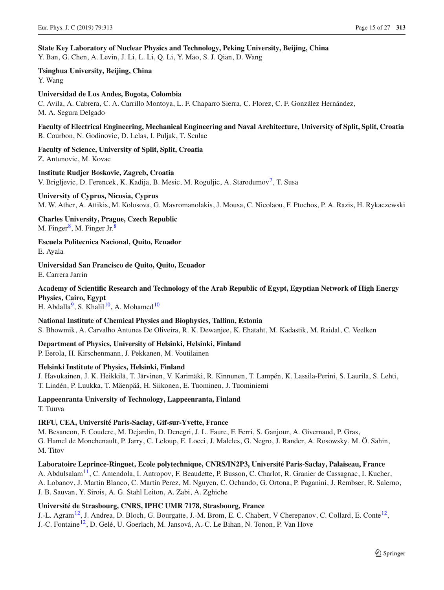## **State Key Laboratory of Nuclear Physics and Technology, Peking University, Beijing, China** Y. Ban, G. Chen, A. Levin, J. Li, L. Li, Q. Li, Y. Mao, S. J. Qian, D. Wang

# **Tsinghua University, Beijing, China**

Y. Wang

# **Universidad de Los Andes, Bogota, Colombia**

C. Avila, A. Cabrera, C. A. Carrillo Montoya, L. F. Chaparro Sierra, C. Florez, C. F. González Hernández, M. A. Segura Delgado

**Faculty of Electrical Engineering, Mechanical Engineering and Naval Architecture, University of Split, Split, Croatia** B. Courbon, N. Godinovic, D. Lelas, I. Puljak, T. Sculac

**Faculty of Science, University of Split, Split, Croatia** Z. Antunovic, M. Kovac

# **Institute Rudjer Boskovic, Zagreb, Croatia**

V. Brigljevic, D. Ferencek, K. Kadija, B. Mesic, M. Roguljic, A. Starodumov<sup>7</sup>, T. Susa

**University of Cyprus, Nicosia, Cyprus** M. W. Ather, A. Attikis, M. Kolosova, G. Mavromanolakis, J. Mousa, C. Nicolaou, F. Ptochos, P. A. Razis, H. Rykaczewski

# **Charles University, Prague, Czech Republic**

M. Finger  $\text{S}$ , M. Finger Jr. $\text{S}$ 

**Escuela Politecnica Nacional, Quito, Ecuador** E. Ayala

**Universidad San Francisco de Quito, Quito, Ecuador** E. Carrera Jarrin

#### **Academy of Scientific Research and Technology of the Arab Republic of Egypt, Egyptian Network of High Energy Physics, Cairo, Egypt** H. Abdalla<sup>9</sup>, S. Khalil<sup>10</sup>, A. Mohamed<sup>10</sup>

**National Institute of Chemical Physics and Biophysics, Tallinn, Estonia** S. Bhowmik, A. Carvalho Antunes De Oliveira, R. K. Dewanjee, K. Ehataht, M. Kadastik, M. Raidal, C. Veelken

**Department of Physics, University of Helsinki, Helsinki, Finland**

P. Eerola, H. Kirschenmann, J. Pekkanen, M. Voutilainen

# **Helsinki Institute of Physics, Helsinki, Finland**

J. Havukainen, J. K. Heikkilä, T. Järvinen, V. Karimäki, R. Kinnunen, T. Lampén, K. Lassila-Perini, S. Laurila, S. Lehti, T. Lindén, P. Luukka, T. Mäenpää, H. Siikonen, E. Tuominen, J. Tuominiemi

**Lappeenranta University of Technology, Lappeenranta, Finland** T. Tuuva

# **IRFU, CEA, Université Paris-Saclay, Gif-sur-Yvette, France**

M. Besancon, F. Couderc, M. Dejardin, D. Denegri, J. L. Faure, F. Ferri, S. Ganjour, A. Givernaud, P. Gras, G. Hamel de Monchenault, P. Jarry, C. Leloup, E. Locci, J. Malcles, G. Negro, J. Rander, A. Rosowsky, M. Ö. Sahin, M. Titov

# **Laboratoire Leprince-Ringuet, Ecole polytechnique, CNRS/IN2P3, Université Paris-Saclay, Palaiseau, France** A. Abdulsalam[11,](#page-25-10) C. Amendola, I. Antropov, F. Beaudette, P. Busson, C. Charlot, R. Granier de Cassagnac, I. Kucher, A. Lobanov, J. Martin Blanco, C. Martin Perez, M. Nguyen, C. Ochando, G. Ortona, P. Paganini, J. Rembser, R. Salerno,

J. B. Sauvan, Y. Sirois, A. G. Stahl Leiton, A. Zabi, A. Zghiche

# **Université de Strasbourg, CNRS, IPHC UMR 7178, Strasbourg, France**

J.-L. Agram<sup>12</sup>, J. Andrea, D. Bloch, G. Bourgatte, J.-M. Brom, E. C. Chabert, V Cherepanov, C. Collard, E. Conte<sup>12</sup>, J.-C. Fontaine<sup>12</sup>, D. Gelé, U. Goerlach, M. Jansová, A.-C. Le Bihan, N. Tonon, P. Van Hove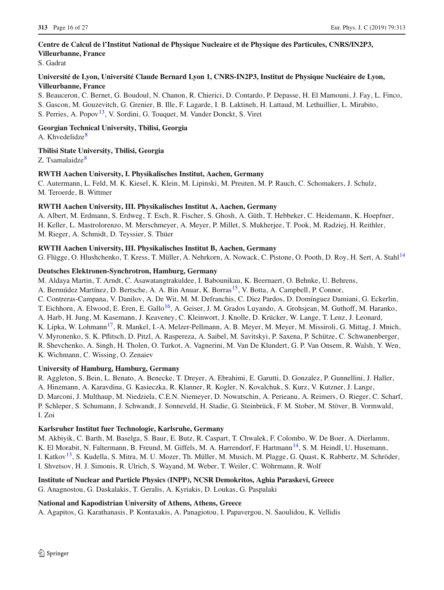#### **Centre de Calcul de l'Institut National de Physique Nucleaire et de Physique des Particules, CNRS/IN2P3, Villeurbanne, France**

S. Gadrat

## **Université de Lyon, Université Claude Bernard Lyon 1, CNRS-IN2P3, Institut de Physique Nucléaire de Lyon, Villeurbanne, France**

S. Beauceron, C. Bernet, G. Boudoul, N. Chanon, R. Chierici, D. Contardo, P. Depasse, H. El Mamouni, J. Fay, L. Finco, S. Gascon, M. Gouzevitch, G. Grenier, B. Ille, F. Lagarde, I. B. Laktineh, H. Lattaud, M. Lethuillier, L. Mirabito,

S. Perries, A. Popov<sup>13</sup>, V. Sordini, G. Touquet, M. Vander Donckt, S. Viret

# **Georgian Technical University, Tbilisi, Georgia**

A. Khvedelidze<sup>[8](#page-25-7)</sup>

# **Tbilisi State University, Tbilisi, Georgia**

Z. Tsamalaidze<sup>[8](#page-25-7)</sup>

# **RWTH Aachen University, I. Physikalisches Institut, Aachen, Germany**

C. Autermann, L. Feld, M. K. Kiesel, K. Klein, M. Lipinski, M. Preuten, M. P. Rauch, C. Schomakers, J. Schulz, M. Teroerde, B. Wittmer

# **RWTH Aachen University, III. Physikalisches Institut A, Aachen, Germany**

A. Albert, M. Erdmann, S. Erdweg, T. Esch, R. Fischer, S. Ghosh, A. Güth, T. Hebbeker, C. Heidemann, K. Hoepfner, H. Keller, L. Mastrolorenzo, M. Merschmeyer, A. Meyer, P. Millet, S. Mukherjee, T. Pook, M. Radziej, H. Reithler, M. Rieger, A. Schmidt, D. Teyssier, S. Thüer

# **RWTH Aachen University, III. Physikalisches Institut B, Aachen, Germany**

G. Flügge, O. Hlushchenko, T. Kress, T. Müller, A. Nehrkorn, A. Nowack, C. Pistone, O. Pooth, D. Roy, H. Sert, A. Stahl<sup>[14](#page-25-13)</sup>

# **Deutsches Elektronen-Synchrotron, Hamburg, Germany**

M. Aldaya Martin, T. Arndt, C. Asawatangtrakuldee, I. Babounikau, K. Beernaert, O. Behnke, U. Behrens,

A. Bermúdez Martínez, D. Bertsche, A. A. Bin Anuar, K. Borras<sup>15</sup>, V. Botta, A. Campbell, P. Connor,

C. Contreras-Campana, V. Danilov, A. De Wit, M. M. Defranchis, C. Diez Pardos, D. Domínguez Damiani, G. Eckerlin,

T. Eichhorn, A. Elwood, E. Eren, E. Gallo<sup>16</sup>, A. Geiser, J. M. Grados Luyando, A. Grohsjean, M. Guthoff, M. Haranko,

A. Harb, H. Jung, M. Kasemann, J. Keaveney, C. Kleinwort, J. Knolle, D. Krücker, W. Lange, T. Lenz, J. Leonard,

K. Lipka, W. Lohmann<sup>17</sup>, R. Mankel, I.-A. Melzer-Pellmann, A. B. Meyer, M. Meyer, M. Missiroli, G. Mittag, J. Mnich,

V. Myronenko, S. K. Pflitsch, D. Pitzl, A. Raspereza, A. Saibel, M. Savitskyi, P. Saxena, P. Schütze, C. Schwanenberger,

R. Shevchenko, A. Singh, H. Tholen, O. Turkot, A. Vagnerini, M. Van De Klundert, G. P. Van Onsem, R. Walsh, Y. Wen,

K. Wichmann, C. Wissing, O. Zenaiev

# **University of Hamburg, Hamburg, Germany**

R. Aggleton, S. Bein, L. Benato, A. Benecke, T. Dreyer, A. Ebrahimi, E. Garutti, D. Gonzalez, P. Gunnellini, J. Haller, A. Hinzmann, A. Karavdina, G. Kasieczka, R. Klanner, R. Kogler, N. Kovalchuk, S. Kurz, V. Kutzner, J. Lange, D. Marconi, J. Multhaup, M. Niedziela, C.E.N. Niemeyer, D. Nowatschin, A. Perieanu, A. Reimers, O. Rieger, C. Scharf, P. Schleper, S. Schumann, J. Schwandt, J. Sonneveld, H. Stadie, G. Steinbrück, F. M. Stober, M. Stöver, B. Vormwald, I. Zoi

## **Karlsruher Institut fuer Technologie, Karlsruhe, Germany**

M. Akbiyik, C. Barth, M. Baselga, S. Baur, E. Butz, R. Caspart, T. Chwalek, F. Colombo, W. De Boer, A. Dierlamm, K. El Morabit, N. Faltermann, B. Freund, M. Giffels, M. A. Harrendorf, F. Hartmann<sup>14</sup>, S. M. Heindl, U. Husemann, I. Katkov<sup>13</sup>, S. Kudella, S. Mitra, M. U. Mozer, Th. Müller, M. Musich, M. Plagge, G. Quast, K. Rabbertz, M. Schröder, I. Shvetsov, H. J. Simonis, R. Ulrich, S. Wayand, M. Weber, T. Weiler, C. Wöhrmann, R. Wolf

# **Institute of Nuclear and Particle Physics (INPP), NCSR Demokritos, Aghia Paraskevi, Greece**

G. Anagnostou, G. Daskalakis, T. Geralis, A. Kyriakis, D. Loukas, G. Paspalaki

# **National and Kapodistrian University of Athens, Athens, Greece**

A. Agapitos, G. Karathanasis, P. Kontaxakis, A. Panagiotou, I. Papavergou, N. Saoulidou, K. Vellidis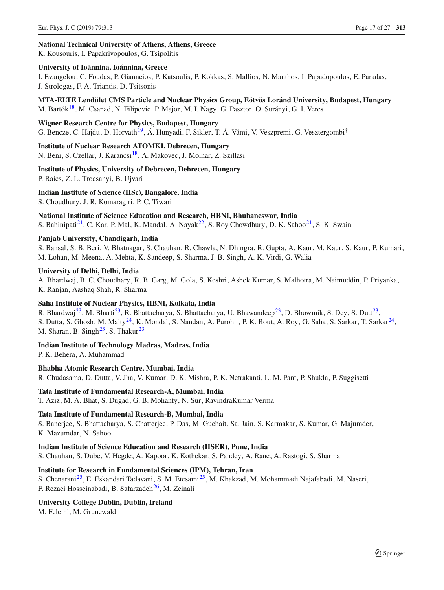## **National Technical University of Athens, Athens, Greece**

K. Kousouris, I. Papakrivopoulos, G. Tsipolitis

#### **University of Ioánnina, Ioánnina, Greece**

I. Evangelou, C. Foudas, P. Gianneios, P. Katsoulis, P. Kokkas, S. Mallios, N. Manthos, I. Papadopoulos, E. Paradas, J. Strologas, F. A. Triantis, D. Tsitsonis

**MTA-ELTE Lendület CMS Particle and Nuclear Physics Group, Eötvös Loránd University, Budapest, Hungary**

M. Bartók<sup>18</sup>, M. Csanad, N. Filipovic, P. Major, M. I. Nagy, G. Pasztor, O. Surányi, G. I. Veres

# **Wigner Research Centre for Physics, Budapest, Hungary**

G. Bencze, C. Hajdu, D. Horvath<sup>19</sup>, Á. Hunyadi, F. Sikler, T. Á. Vámi, V. Veszpremi, G. Vesztergombi<sup>†</sup>

# **Institute of Nuclear Research ATOMKI, Debrecen, Hungary**

N. Beni, S. Czellar, J. Karancsi<sup>18</sup>, A. Makovec, J. Molnar, Z. Szillasi

# **Institute of Physics, University of Debrecen, Debrecen, Hungary**

P. Raics, Z. L. Trocsanyi, B. Ujvari

**Indian Institute of Science (IISc), Bangalore, India**

S. Choudhury, J. R. Komaragiri, P. C. Tiwari

# **National Institute of Science Education and Research, HBNI, Bhubaneswar, India**

S. Bahinipati<sup>21</sup>, C. Kar, P. Mal, K. Mandal, A. Nayak<sup>22</sup>, S. Roy Chowdhury, D. K. Sahoo<sup>21</sup>, S. K. Swain

# **Panjab University, Chandigarh, India**

S. Bansal, S. B. Beri, V. Bhatnagar, S. Chauhan, R. Chawla, N. Dhingra, R. Gupta, A. Kaur, M. Kaur, S. Kaur, P. Kumari, M. Lohan, M. Meena, A. Mehta, K. Sandeep, S. Sharma, J. B. Singh, A. K. Virdi, G. Walia

#### **University of Delhi, Delhi, India**

A. Bhardwaj, B. C. Choudhary, R. B. Garg, M. Gola, S. Keshri, Ashok Kumar, S. Malhotra, M. Naimuddin, P. Priyanka, K. Ranjan, Aashaq Shah, R. Sharma

# **Saha Institute of Nuclear Physics, HBNI, Kolkata, India**

R. Bhardwaj<sup>23</sup>, M. Bharti<sup>23</sup>, R. Bhattacharya, S. Bhattacharya, U. Bhawandeep<sup>23</sup>, D. Bhowmik, S. Dey, S. Dutt<sup>23</sup>, S. Dutta, S. Ghosh, M. Maity<sup>24</sup>, K. Mondal, S. Nandan, A. Purohit, P. K. Rout, A. Roy, G. Saha, S. Sarkar, T. Sarkar<sup>24</sup>, M. Sharan, B. Singh<sup>23</sup>, S. Thakur<sup>23</sup>

#### **Indian Institute of Technology Madras, Madras, India**

P. K. Behera, A. Muhammad

#### **Bhabha Atomic Research Centre, Mumbai, India**

R. Chudasama, D. Dutta, V. Jha, V. Kumar, D. K. Mishra, P. K. Netrakanti, L. M. Pant, P. Shukla, P. Suggisetti

#### **Tata Institute of Fundamental Research-A, Mumbai, India**

T. Aziz, M. A. Bhat, S. Dugad, G. B. Mohanty, N. Sur, RavindraKumar Verma

#### **Tata Institute of Fundamental Research-B, Mumbai, India**

S. Banerjee, S. Bhattacharya, S. Chatterjee, P. Das, M. Guchait, Sa. Jain, S. Karmakar, S. Kumar, G. Majumder, K. Mazumdar, N. Sahoo

#### **Indian Institute of Science Education and Research (IISER), Pune, India**

S. Chauhan, S. Dube, V. Hegde, A. Kapoor, K. Kothekar, S. Pandey, A. Rane, A. Rastogi, S. Sharma

#### **Institute for Research in Fundamental Sciences (IPM), Tehran, Iran**

S. Chenarani<sup>25</sup>, E. Eskandari Tadavani, S. M. Etesami<sup>25</sup>, M. Khakzad, M. Mohammadi Najafabadi, M. Naseri, F. Rezaei Hosseinabadi, B. Safarzadeh<sup>26</sup>, M. Zeinali

#### **University College Dublin, Dublin, Ireland**

M. Felcini, M. Grunewald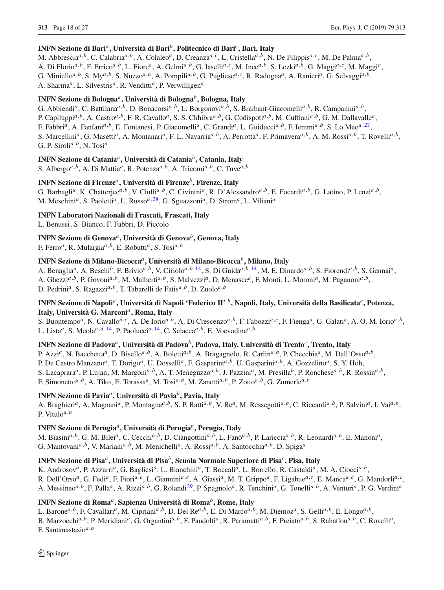## **INFN Sezione di Bari***a***, Università di Bari***b***, Politecnico di Bari***c***, Bari, Italy**

M. Abbrescia*a*,*b*, C. Calabria*a*,*b*, A. Colaleo*a*, D. Creanza*a*,*c*, L. Cristella*a*,*b*, N. De Filippis*a*,*c*, M. De Palma*a*,*b*, A. Di Florio<sup>a,b</sup>, F. Errico<sup>a,b</sup>, L. Fiore<sup>a</sup>, A. Gelmi<sup>a,b</sup>, G. Iaselli<sup>a,c</sup>, M. Ince<sup>a,b</sup>, S. Lezki<sup>a,b</sup>, G. Maggi<sup>a,c</sup>, M. Maggi<sup>a</sup>, G. Miniello<sup>*a*,*b*</sup>, S. My<sup>*a*,*b*</sup>, S. Nuzzo<sup>*a*,*b*</sup>, A. Pompili<sup>*a*,*b*</sup>, G. Pugliese<sup>*a*,*c*</sup>, R. Radogna<sup>*a*</sup>, A. Ranieri<sup>*a*</sup>, G. Selvaggi<sup>*a*,*b*</sup>, A. Sharma*a*, L. Silvestris*a*, R. Venditti*a*, P. Verwilligen*<sup>a</sup>*

# **INFN Sezione di Bologna***a***, Università di Bologna***b***, Bologna, Italy**

G. Abbiendi*a*, C. Battilana*a*,*b*, D. Bonacorsi*a*,*b*, L. Borgonovi*a*,*b*, S. Braibant-Giacomelli*a*,*b*, R. Campanini*a*,*b*, P. Capiluppi*a*,*b*, A. Castro*a*,*b*, F. R. Cavallo*a*, S. S. Chhibra*a*,*b*, G. Codispoti*a*,*b*, M. Cuffiani*a*,*b*, G. M. Dallavalle*a*, F. Fabbri*a*, A. Fanfani*a*,*b*, E. Fontanesi, P. Giacomelli*a*, C. Grandi*a*, L. Guiducci*a*,*b*, F. Iemmi*a*,*b*, S. Lo Meo*a*,[27,](#page-25-25) S. Marcellini*a*, G. Masetti*a*, A. Montanari*a*, F. L. Navarria*a*,*b*, A. Perrotta*a*, F. Primavera*a*,*b*, A. M. Rossi*a*,*b*, T. Rovelli*a*,*b*, G. P. Siroli*a*,*b*, N. Tosi*<sup>a</sup>*

# **INFN Sezione di Catania***a***, Università di Catania***b***, Catania, Italy**

S. Albergo<sup>*a*,*b*</sup>, A. Di Mattia<sup>*a*</sup>, R. Potenza<sup>*a*,*b*</sup>, A. Tricomi<sup>*a*,*b*</sup>, C. Tuve<sup>*a*,*b*</sup>

# **INFN Sezione di Firenze***a***, Università di Firenze***b***, Firenze, Italy**

G. Barbagli*a*, K. Chatterjee*a*,*b*, V. Ciulli*a*,*b*, C. Civinini*a*, R. D'Alessandro*a*,*b*, E. Focardi*a*,*b*, G. Latino, P. Lenzi*a*,*b*, M. Meschini*a*, S. Paoletti*a*, L. Russo*a*,[28,](#page-25-26) G. Sguazzoni*<sup>a</sup>*, D. Strom*a*, L. Viliani*<sup>a</sup>*

# **INFN Laboratori Nazionali di Frascati, Frascati, Italy**

L. Benussi, S. Bianco, F. Fabbri, D. Piccolo

# **INFN Sezione di Genova***a***, Università di Genova***b***, Genova, Italy**

F. Ferro*a*, R. Mulargia*a*,*b*, E. Robutti*a*, S. Tosi*a*,*<sup>b</sup>*

#### **INFN Sezione di Milano-Bicocca***a***, Università di Milano-Bicocca***b***, Milano, Italy**

A. Benaglia*a*, A. Beschi*b*, F. Brivio*a*,*b*, V. Ciriolo*a*,*b*,[14,](#page-25-13) S. Di Guida*<sup>a</sup>*,*b*,[14,](#page-25-13) M. E. Dinardo*<sup>a</sup>*,*b*, S. Fiorendi*a*,*b*, S. Gennai*a*, A. Ghezzi*a*,*b*, P. Govoni*a*,*b*, M. Malberti*a*,*b*, S. Malvezzi*a*, D. Menasce*a*, F. Monti, L. Moroni*a*, M. Paganoni*a*,*b*, D. Pedrini*a*, S. Ragazzi*a*,*b*, T. Tabarelli de Fatis*a*,*b*, D. Zuolo*a*,*<sup>b</sup>*

# **INFN Sezione di Napoli***a***, Università di Napoli 'Federico II'** *<sup>b</sup>***, Napoli, Italy, Università della Basilicata***c***, Potenza, Italy, Università G. Marconi***<sup>d</sup>* **, Roma, Italy**

S. Buontempo*a*, N. Cavallo*a*,*c*, A. De Iorio*a*,*b*, A. Di Crescenzo*a*,*b*, F. Fabozzi*a*,*c*, F. Fienga*a*, G. Galati*a*, A. O. M. Iorio*a*,*b*, L. Lista<sup>*a*</sup>, S. Meola<sup>*a*,*d*, 14</sup>, P. Paolucci<sup>*a*, 14</sup>, C. Sciacca<sup>*a*,*b*</sup>, E. Voevodina<sup>*a*,*b*</sup>

## **INFN Sezione di Padova***a***, Università di Padova***b***, Padova, Italy, Università di Trento***c***, Trento, Italy**

P. Azzi*a*, N. Bacchetta*a*, D. Bisello*a*,*b*, A. Boletti*a*,*b*, A. Bragagnolo, R. Carlin*a*,*b*, P. Checchia*a*, M. Dall'Osso*a*,*b*, P. De Castro Manzano*a*, T. Dorigo*a*, U. Dosselli*a*, F. Gasparini*a*,*b*, U. Gasparini*a*,*b*, A. Gozzelino*a*, S. Y. Hoh, S. Lacaprara*a*, P. Lujan, M. Margoni*a*,*b*, A. T. Meneguzzo*a*,*b*, J. Pazzini*a*, M. Presilla*b*, P. Ronchese*a*,*b*, R. Rossin*a*,*b*, F. Simonetto*a*,*b*, A. Tiko, E. Torassa*a*, M. Tosi*a*,*b*, M. Zanetti*a*,*b*, P. Zotto*a*,*b*, G. Zumerle*a*,*<sup>b</sup>*

# **INFN Sezione di Pavia***a***, Università di Pavia***b***, Pavia, Italy**

A. Braghieri*a*, A. Magnani*a*, P. Montagna*a*,*b*, S. P. Ratti*a*,*b*, V. Re*a*, M. Ressegotti*a*,*b*, C. Riccardi*a*,*b*, P. Salvini*a*, I. Vai*a*,*b*, P. Vitulo*a*,*<sup>b</sup>*

# **INFN Sezione di Perugia***a***, Università di Perugia***b***, Perugia, Italy**

M. Biasini*a*,*b*, G. M. Bilei*a*, C. Cecchi*a*,*b*, D. Ciangottini*a*,*b*, L. Fanò*a*,*b*, P. Lariccia*a*,*b*, R. Leonardi*a*,*b*, E. Manoni*a*, G. Mantovani*a*,*b*, V. Mariani*a*,*b*, M. Menichelli*a*, A. Rossi*a*,*b*, A. Santocchia*a*,*b*, D. Spiga*<sup>a</sup>*

#### **INFN Sezione di Pisa***a***, Università di Pisa***b***, Scuola Normale Superiore di Pisa***c***, Pisa, Italy**

K. Androsov*a*, P. Azzurri*a*, G. Bagliesi*a*, L. Bianchini*a*, T. Boccali*a*, L. Borrello, R. Castaldi*a*, M. A. Ciocci*a*,*b*, R. Dell'Orso*a*, G. Fedi*a*, F. Fiori*a*,*c*, L. Giannini*a*,*c*, A. Giassi*a*, M. T. Grippo*a*, F. Ligabue*a*,*c*, E. Manca*a*,*c*, G. Mandorli*a*,*c*, A. Messineo*a*,*b*, F. Palla*a*, A. Rizzi*a*,*b*, G. Rolandi[29,](#page-25-27) P. Spagnolo*<sup>a</sup>*, R. Tenchini*a*, G. Tonelli*a*,*b*, A. Venturi*a*, P. G. Verdini*<sup>a</sup>*

# **INFN Sezione di Roma***a***, Sapienza Università di Roma***b***, Rome, Italy**

L. Barone*a*,*b*, F. Cavallari*a*, M. Cipriani*a*,*b*, D. Del Re*a*,*b*, E. Di Marco*a*,*b*, M. Diemoz*a*, S. Gelli*a*,*b*, E. Longo*a*,*b*,

B. Marzocchi*a*,*b*, P. Meridiani*a*, G. Organtini*a*,*b*, F. Pandolfi*a*, R. Paramatti*a*,*b*, F. Preiato*a*,*b*, S. Rahatlou*a*,*b*, C. Rovelli*a*, F. Santanastasio*a*,*<sup>b</sup>*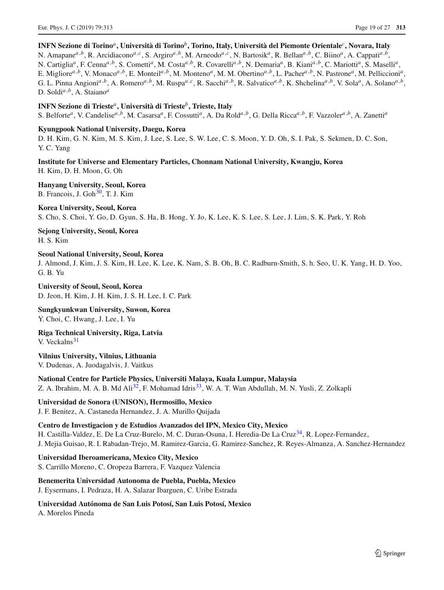#### **INFN Sezione di Torino***a***, Università di Torino***b***, Torino, Italy, Università del Piemonte Orientale***c***, Novara, Italy**

N. Amapane*a*,*b*, R. Arcidiacono*a*,*c*, S. Argiro*a*,*b*, M. Arneodo*a*,*c*, N. Bartosik*a*, R. Bellan*a*,*b*, C. Biino*a*, A. Cappati*a*,*b*, N. Cartiglia*a*, F. Cenna*a*,*b*, S. Cometti*a*, M. Costa*a*,*b*, R. Covarelli*a*,*b*, N. Demaria*a*, B. Kiani*a*,*b*, C. Mariotti*a*, S. Maselli*a*, E. Migliore*a*,*b*, V. Monaco*a*,*b*, E. Monteil*a*,*b*, M. Monteno*a*, M. M. Obertino*a*,*b*, L. Pacher*a*,*b*, N. Pastrone*a*, M. Pelliccioni*a*, G. L. Pinna Angioni<sup>a, b</sup>, A. Romero<sup>a, b</sup>, M. Ruspa<sup>a, c</sup>, R. Sacchi<sup>a, b</sup>, R. Salvatico<sup>a, b</sup>, K. Shchelina<sup>a, b</sup>, V. Sola<sup>a</sup>, A. Solano<sup>a, b</sup>, D. Soldi*a*,*b*, A. Staiano*<sup>a</sup>*

#### **INFN Sezione di Trieste***a***, Università di Trieste***b***, Trieste, Italy**

S. Belforte*a*, V. Candelise*a*,*b*, M. Casarsa*a*, F. Cossutti*a*, A. Da Rold*a*,*b*, G. Della Ricca*a*,*b*, F. Vazzoler*a*,*b*, A. Zanetti*<sup>a</sup>*

## **Kyungpook National University, Daegu, Korea**

D. H. Kim, G. N. Kim, M. S. Kim, J. Lee, S. Lee, S. W. Lee, C. S. Moon, Y. D. Oh, S. I. Pak, S. Sekmen, D. C. Son, Y. C. Yang

**Institute for Universe and Elementary Particles, Chonnam National University, Kwangju, Korea** H. Kim, D. H. Moon, G. Oh

**Hanyang University, Seoul, Korea** B. Francois, J.  $Goh<sup>30</sup>$ , T. J. Kim

# **Korea University, Seoul, Korea** S. Cho, S. Choi, Y. Go, D. Gyun, S. Ha, B. Hong, Y. Jo, K. Lee, K. S. Lee, S. Lee, J. Lim, S. K. Park, Y. Roh

**Sejong University, Seoul, Korea** H. S. Kim

**Seoul National University, Seoul, Korea**

J. Almond, J. Kim, J. S. Kim, H. Lee, K. Lee, K. Nam, S. B. Oh, B. C. Radburn-Smith, S. h. Seo, U. K. Yang, H. D. Yoo, G. B. Yu

**University of Seoul, Seoul, Korea** D. Jeon, H. Kim, J. H. Kim, J. S. H. Lee, I. C. Park

**Sungkyunkwan University, Suwon, Korea** Y. Choi, C. Hwang, J. Lee, I. Yu

**Riga Technical University, Riga, Latvia** V. Veckalns $31$ 

**Vilnius University, Vilnius, Lithuania** V. Dudenas, A. Juodagalvis, J. Vaitkus

**National Centre for Particle Physics, Universiti Malaya, Kuala Lumpur, Malaysia** Z. A. Ibrahim, M. A. B. Md Ali<sup>32</sup>, F. Mohamad Idris<sup>33</sup>, W. A. T. Wan Abdullah, M. N. Yusli, Z. Zolkapli

**Universidad de Sonora (UNISON), Hermosillo, Mexico** J. F. Benitez, A. Castaneda Hernandez, J. A. Murillo Quijada

#### **Centro de Investigacion y de Estudios Avanzados del IPN, Mexico City, Mexico**

H. Castilla-Valdez, E. De La Cruz-Burelo, M. C. Duran-Osuna, I. Heredia-De La Cruz<sup>34</sup>, R. Lopez-Fernandez, J. Mejia Guisao, R. I. Rabadan-Trejo, M. Ramirez-Garcia, G. Ramirez-Sanchez, R. Reyes-Almanza, A. Sanchez-Hernandez

#### **Universidad Iberoamericana, Mexico City, Mexico**

S. Carrillo Moreno, C. Oropeza Barrera, F. Vazquez Valencia

# **Benemerita Universidad Autonoma de Puebla, Puebla, Mexico**

J. Eysermans, I. Pedraza, H. A. Salazar Ibarguen, C. Uribe Estrada

# **Universidad Autónoma de San Luis Potosí, San Luis Potosí, Mexico**

A. Morelos Pineda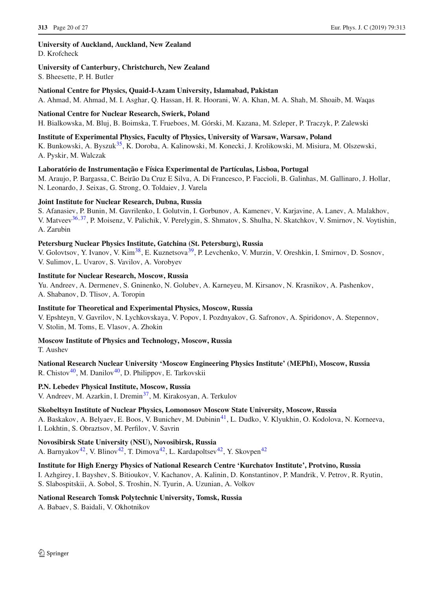# **University of Auckland, Auckland, New Zealand**

D. Krofcheck

#### **University of Canterbury, Christchurch, New Zealand**

S. Bheesette, P. H. Butler

#### **National Centre for Physics, Quaid-I-Azam University, Islamabad, Pakistan**

A. Ahmad, M. Ahmad, M. I. Asghar, Q. Hassan, H. R. Hoorani, W. A. Khan, M. A. Shah, M. Shoaib, M. Waqas

#### **National Centre for Nuclear Research, Swierk, Poland**

H. Bialkowska, M. Bluj, B. Boimska, T. Frueboes, M. Górski, M. Kazana, M. Szleper, P. Traczyk, P. Zalewski

## **Institute of Experimental Physics, Faculty of Physics, University of Warsaw, Warsaw, Poland**

K. Bunkowski, A. Byszuk<sup>35</sup>, K. Doroba, A. Kalinowski, M. Konecki, J. Krolikowski, M. Misiura, M. Olszewski, A. Pyskir, M. Walczak

#### **Laboratório de Instrumentação e Física Experimental de Partículas, Lisboa, Portugal**

M. Araujo, P. Bargassa, C. Beirão Da Cruz E Silva, A. Di Francesco, P. Faccioli, B. Galinhas, M. Gallinaro, J. Hollar, N. Leonardo, J. Seixas, G. Strong, O. Toldaiev, J. Varela

#### **Joint Institute for Nuclear Research, Dubna, Russia**

S. Afanasiev, P. Bunin, M. Gavrilenko, I. Golutvin, I. Gorbunov, A. Kamenev, V. Karjavine, A. Lanev, A. Malakhov, V. Matveev<sup>[36](#page-25-34),37</sup>, P. Moisenz, V. Palichik, V. Perelygin, S. Shmatov, S. Shulha, N. Skatchkov, V. Smirnov, N. Voytishin, A. Zarubin

# **Petersburg Nuclear Physics Institute, Gatchina (St. Petersburg), Russia**

V. Golovtsov, Y. Ivanov, V. Kim[38,](#page-25-36) E. Kuznetsov[a39,](#page-25-37) P. Levchenko, V. Murzin, V. Oreshkin, I. Smirnov, D. Sosnov, V. Sulimov, L. Uvarov, S. Vavilov, A. Vorobyev

#### **Institute for Nuclear Research, Moscow, Russia**

Yu. Andreev, A. Dermenev, S. Gninenko, N. Golubev, A. Karneyeu, M. Kirsanov, N. Krasnikov, A. Pashenkov, A. Shabanov, D. Tlisov, A. Toropin

#### **Institute for Theoretical and Experimental Physics, Moscow, Russia**

V. Epshteyn, V. Gavrilov, N. Lychkovskaya, V. Popov, I. Pozdnyakov, G. Safronov, A. Spiridonov, A. Stepennov, V. Stolin, M. Toms, E. Vlasov, A. Zhokin

**Moscow Institute of Physics and Technology, Moscow, Russia**

T. Aushev

**National Research Nuclear University 'Moscow Engineering Physics Institute' (MEPhI), Moscow, Russia** R. Chistov<sup>40</sup>, M. Danilov<sup>40</sup>, D. Philippov, E. Tarkovskii

## **P.N. Lebedev Physical Institute, Moscow, Russia**

V. Andreev, M. Azarkin, I. Dremin<sup>37</sup>, M. Kirakosyan, A. Terkulov

#### **Skobeltsyn Institute of Nuclear Physics, Lomonosov Moscow State University, Moscow, Russia**

A. Baskakov, A. Belyaev, E. Boos, V. Bunichev, M. Dubinin<sup>41</sup>, L. Dudko, V. Klyukhin, O. Kodolova, N. Korneeva, I. Lokhtin, S. Obraztsov, M. Perfilov, V. Savrin

**Novosibirsk State University (NSU), Novosibirsk, Russia** A. Barnyakov<sup>42</sup>, V. Blinov<sup>42</sup>, T. Dimova<sup>42</sup>, L. Kardapoltsev<sup>42</sup>, Y. Skovpen<sup>42</sup>

**Institute for High Energy Physics of National Research Centre 'Kurchatov Institute', Protvino, Russia** I. Azhgirey, I. Bayshev, S. Bitioukov, V. Kachanov, A. Kalinin, D. Konstantinov, P. Mandrik, V. Petrov, R. Ryutin, S. Slabospitskii, A. Sobol, S. Troshin, N. Tyurin, A. Uzunian, A. Volkov

#### **National Research Tomsk Polytechnic University, Tomsk, Russia**

A. Babaev, S. Baidali, V. Okhotnikov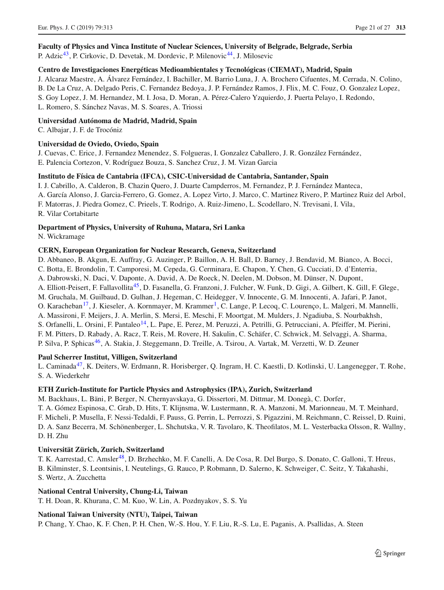# **Faculty of Physics and Vinca Institute of Nuclear Sciences, University of Belgrade, Belgrade, Serbia**

P. Adzic<sup>43</sup>, P. Cirkovic, D. Devetak, M. Dordevic, P. Milenovic<sup>44</sup>, J. Milosevic

# **Centro de Investigaciones Energéticas Medioambientales y Tecnológicas (CIEMAT), Madrid, Spain**

J. Alcaraz Maestre, A. Álvarez Fernández, I. Bachiller, M. Barrio Luna, J. A. Brochero Cifuentes, M. Cerrada, N. Colino, B. De La Cruz, A. Delgado Peris, C. Fernandez Bedoya, J. P. Fernández Ramos, J. Flix, M. C. Fouz, O. Gonzalez Lopez, S. Goy Lopez, J. M. Hernandez, M. I. Josa, D. Moran, A. Pérez-Calero Yzquierdo, J. Puerta Pelayo, I. Redondo, L. Romero, S. Sánchez Navas, M. S. Soares, A. Triossi

**Universidad Autónoma de Madrid, Madrid, Spain**

C. Albajar, J. F. de Trocóniz

## **Universidad de Oviedo, Oviedo, Spain**

J. Cuevas, C. Erice, J. Fernandez Menendez, S. Folgueras, I. Gonzalez Caballero, J. R. González Fernández, E. Palencia Cortezon, V. Rodríguez Bouza, S. Sanchez Cruz, J. M. Vizan Garcia

#### **Instituto de Física de Cantabria (IFCA), CSIC-Universidad de Cantabria, Santander, Spain**

I. J. Cabrillo, A. Calderon, B. Chazin Quero, J. Duarte Campderros, M. Fernandez, P. J. Fernández Manteca, A. García Alonso, J. Garcia-Ferrero, G. Gomez, A. Lopez Virto, J. Marco, C. Martinez Rivero, P. Martinez Ruiz del Arbol, F. Matorras, J. Piedra Gomez, C. Prieels, T. Rodrigo, A. Ruiz-Jimeno, L. Scodellaro, N. Trevisani, I. Vila, R. Vilar Cortabitarte

**Department of Physics, University of Ruhuna, Matara, Sri Lanka**

N. Wickramage

#### **CERN, European Organization for Nuclear Research, Geneva, Switzerland**

D. Abbaneo, B. Akgun, E. Auffray, G. Auzinger, P. Baillon, A. H. Ball, D. Barney, J. Bendavid, M. Bianco, A. Bocci,

C. Botta, E. Brondolin, T. Camporesi, M. Cepeda, G. Cerminara, E. Chapon, Y. Chen, G. Cucciati, D. d'Enterria,

A. Dabrowski, N. Daci, V. Daponte, A. David, A. De Roeck, N. Deelen, M. Dobson, M. Dünser, N. Dupont,

A. Elliott-Peisert, F. Fallavollita<sup>45</sup>, D. Fasanella, G. Franzoni, J. Fulcher, W. Funk, D. Gigi, A. Gilbert, K. Gill, F. Glege,

M. Gruchala, M. Guilbaud, D. Gulhan, J. Hegeman, C. Heidegger, V. Innocente, G. M. Innocenti, A. Jafari, P. Janot,

O. Karacheban<sup>17</sup>, J. Kieseler, A. Kornmayer, M. Krammer<sup>1</sup>, C. Lange, P. Lecoq, C. Lourenço, L. Malgeri, M. Mannelli,

A. Massironi, F. Meijers, J. A. Merlin, S. Mersi, E. Meschi, F. Moortgat, M. Mulders, J. Ngadiuba, S. Nourbakhsh,

S. Orfanelli, L. Orsini, F. Pantaleo<sup>14</sup>, L. Pape, E. Perez, M. Peruzzi, A. Petrilli, G. Petrucciani, A. Pfeiffer, M. Pierini,

F. M. Pitters, D. Rabady, A. Racz, T. Reis, M. Rovere, H. Sakulin, C. Schäfer, C. Schwick, M. Selvaggi, A. Sharma,

P. Silva, P. Sphicas<sup>46</sup>, A. Stakia, J. Steggemann, D. Treille, A. Tsirou, A. Vartak, M. Verzetti, W. D. Zeuner

# **Paul Scherrer Institut, Villigen, Switzerland**

L. Caminada<sup>47</sup>, K. Deiters, W. Erdmann, R. Horisberger, Q. Ingram, H. C. Kaestli, D. Kotlinski, U. Langenegger, T. Rohe, S. A. Wiederkehr

#### **ETH Zurich-Institute for Particle Physics and Astrophysics (IPA), Zurich, Switzerland**

M. Backhaus, L. Bäni, P. Berger, N. Chernyavskaya, G. Dissertori, M. Dittmar, M. Donegà, C. Dorfer, T. A. Gómez Espinosa, C. Grab, D. Hits, T. Klijnsma, W. Lustermann, R. A. Manzoni, M. Marionneau, M. T. Meinhard, F. Micheli, P. Musella, F. Nessi-Tedaldi, F. Pauss, G. Perrin, L. Perrozzi, S. Pigazzini, M. Reichmann, C. Reissel, D. Ruini, D. A. Sanz Becerra, M. Schönenberger, L. Shchutska, V. R. Tavolaro, K. Theofilatos, M. L. Vesterbacka Olsson, R. Wallny, D. H. Zhu

#### **Universität Zürich, Zurich, Switzerland**

T. K. Aarrestad, C. Amsler<sup>48</sup>, D. Brzhechko, M. F. Canelli, A. De Cosa, R. Del Burgo, S. Donato, C. Galloni, T. Hreus, B. Kilminster, S. Leontsinis, I. Neutelings, G. Rauco, P. Robmann, D. Salerno, K. Schweiger, C. Seitz, Y. Takahashi, S. Wertz, A. Zucchetta

#### **National Central University, Chung-Li, Taiwan**

T. H. Doan, R. Khurana, C. M. Kuo, W. Lin, A. Pozdnyakov, S. S. Yu

#### **National Taiwan University (NTU), Taipei, Taiwan**

P. Chang, Y. Chao, K. F. Chen, P. H. Chen, W.-S. Hou, Y. F. Liu, R.-S. Lu, E. Paganis, A. Psallidas, A. Steen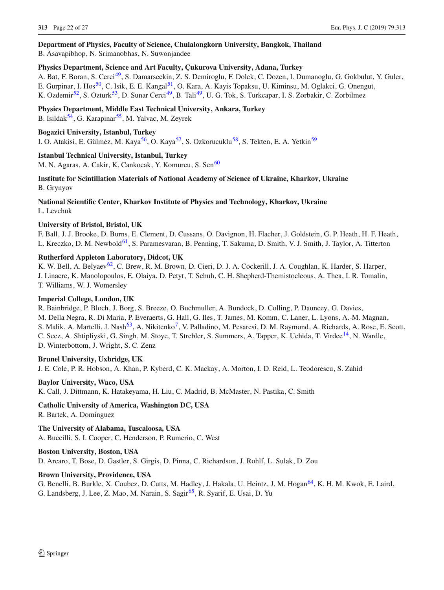# **Department of Physics, Faculty of Science, Chulalongkorn University, Bangkok, Thailand**

B. Asavapibhop, N. Srimanobhas, N. Suwonjandee

# **Physics Department, Science and Art Faculty, Çukurova University, Adana, Turkey**

A. Bat, F. Boran, S. Cerci<sup>49</sup>, S. Damarseckin, Z. S. Demiroglu, F. Dolek, C. Dozen, I. Dumanoglu, G. Gokbulut, Y. Guler, E. Gurpinar, I. Hos<sup>50</sup>, C. Isik, E. E. Kangal<sup>51</sup>, O. Kara, A. Kayis Topaksu, U. Kiminsu, M. Oglakci, G. Onengut, K. Ozdemir<sup>52</sup>, S. Ozturk<sup>53</sup>, D. Sunar Cerci<sup>49</sup>, B. Tali<sup>49</sup>, U. G. Tok, S. Turkcapar, I. S. Zorbakir, C. Zorbilmez

# **Physics Department, Middle East Technical University, Ankara, Turkey**

B. Isildak<sup>54</sup>, G. Karapinar<sup>55</sup>, M. Yalvac, M. Zeyrek

# **Bogazici University, Istanbul, Turkey**

I. O. Atakisi, E. Gülmez, M. Kaya<sup>56</sup>, O. Kaya<sup>57</sup>, S. Ozkorucuklu<sup>58</sup>, S. Tekten, E. A. Yetkin<sup>59</sup>

# **Istanbul Technical University, Istanbul, Turkey**

M. N. Agaras, A. Cakir, K. Cankocak, Y. Komurcu, S. Sen<sup>[60](#page-26-12)</sup>

# **Institute for Scintillation Materials of National Academy of Science of Ukraine, Kharkov, Ukraine** B. Grynyov

**National Scientific Center, Kharkov Institute of Physics and Technology, Kharkov, Ukraine** L. Levchuk

# **University of Bristol, Bristol, UK**

F. Ball, J. J. Brooke, D. Burns, E. Clement, D. Cussans, O. Davignon, H. Flacher, J. Goldstein, G. P. Heath, H. F. Heath, L. Kreczko, D. M. Newbold<sup>61</sup>, S. Paramesvaran, B. Penning, T. Sakuma, D. Smith, V. J. Smith, J. Taylor, A. Titterton

# **Rutherford Appleton Laboratory, Didcot, UK**

K. W. Bell, A. Belyaev<sup>62</sup>, C. Brew, R. M. Brown, D. Cieri, D. J. A. Cockerill, J. A. Coughlan, K. Harder, S. Harper, J. Linacre, K. Manolopoulos, E. Olaiya, D. Petyt, T. Schuh, C. H. Shepherd-Themistocleous, A. Thea, I. R. Tomalin, T. Williams, W. J. Womersley

## **Imperial College, London, UK**

R. Bainbridge, P. Bloch, J. Borg, S. Breeze, O. Buchmuller, A. Bundock, D. Colling, P. Dauncey, G. Davies, M. Della Negra, R. Di Maria, P. Everaerts, G. Hall, G. Iles, T. James, M. Komm, C. Laner, L. Lyons, A.-M. Magnan, S. Malik, A. Martelli, J. Nash<sup>63</sup>, A. Nikitenko<sup>7</sup>, V. Palladino, M. Pesaresi, D. M. Raymond, A. Richards, A. Rose, E. Scott, C. Seez, A. Shtipliyski, G. Singh, M. Stoye, T. Strebler, S. Summers, A. Tapper, K. Uchida, T. Virdee<sup>14</sup>, N. Wardle, D. Winterbottom, J. Wright, S. C. Zenz

#### **Brunel University, Uxbridge, UK**

J. E. Cole, P. R. Hobson, A. Khan, P. Kyberd, C. K. Mackay, A. Morton, I. D. Reid, L. Teodorescu, S. Zahid

#### **Baylor University, Waco, USA**

K. Call, J. Dittmann, K. Hatakeyama, H. Liu, C. Madrid, B. McMaster, N. Pastika, C. Smith

**Catholic University of America, Washington DC, USA** R. Bartek, A. Dominguez

**The University of Alabama, Tuscaloosa, USA** A. Buccilli, S. I. Cooper, C. Henderson, P. Rumerio, C. West

#### **Boston University, Boston, USA**

D. Arcaro, T. Bose, D. Gastler, S. Girgis, D. Pinna, C. Richardson, J. Rohlf, L. Sulak, D. Zou

#### **Brown University, Providence, USA**

G. Benelli, B. Burkle, X. Coubez, D. Cutts, M. Hadley, J. Hakala, U. Heintz, J. M. Hogan<sup>64</sup>, K. H. M. Kwok, E. Laird, G. Landsberg, J. Lee, Z. Mao, M. Narain, S. Sagir<sup>65</sup>, R. Syarif, E. Usai, D. Yu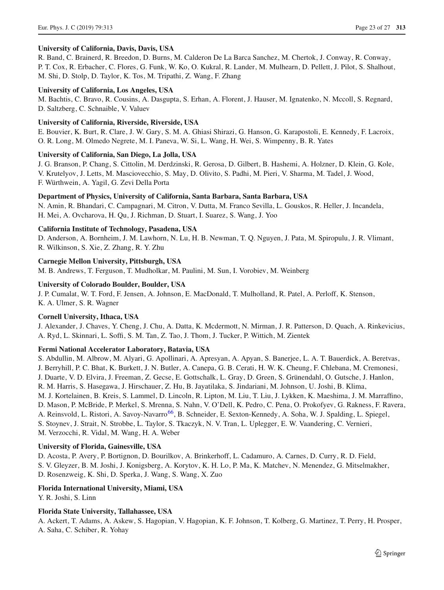#### **University of California, Davis, Davis, USA**

R. Band, C. Brainerd, R. Breedon, D. Burns, M. Calderon De La Barca Sanchez, M. Chertok, J. Conway, R. Conway, P. T. Cox, R. Erbacher, C. Flores, G. Funk, W. Ko, O. Kukral, R. Lander, M. Mulhearn, D. Pellett, J. Pilot, S. Shalhout, M. Shi, D. Stolp, D. Taylor, K. Tos, M. Tripathi, Z. Wang, F. Zhang

#### **University of California, Los Angeles, USA**

M. Bachtis, C. Bravo, R. Cousins, A. Dasgupta, S. Erhan, A. Florent, J. Hauser, M. Ignatenko, N. Mccoll, S. Regnard, D. Saltzberg, C. Schnaible, V. Valuev

#### **University of California, Riverside, Riverside, USA**

E. Bouvier, K. Burt, R. Clare, J. W. Gary, S. M. A. Ghiasi Shirazi, G. Hanson, G. Karapostoli, E. Kennedy, F. Lacroix, O. R. Long, M. Olmedo Negrete, M. I. Paneva, W. Si, L. Wang, H. Wei, S. Wimpenny, B. R. Yates

#### **University of California, San Diego, La Jolla, USA**

J. G. Branson, P. Chang, S. Cittolin, M. Derdzinski, R. Gerosa, D. Gilbert, B. Hashemi, A. Holzner, D. Klein, G. Kole, V. Krutelyov, J. Letts, M. Masciovecchio, S. May, D. Olivito, S. Padhi, M. Pieri, V. Sharma, M. Tadel, J. Wood, F. Würthwein, A. Yagil, G. Zevi Della Porta

#### **Department of Physics, University of California, Santa Barbara, Santa Barbara, USA**

N. Amin, R. Bhandari, C. Campagnari, M. Citron, V. Dutta, M. Franco Sevilla, L. Gouskos, R. Heller, J. Incandela, H. Mei, A. Ovcharova, H. Qu, J. Richman, D. Stuart, I. Suarez, S. Wang, J. Yoo

#### **California Institute of Technology, Pasadena, USA**

D. Anderson, A. Bornheim, J. M. Lawhorn, N. Lu, H. B. Newman, T. Q. Nguyen, J. Pata, M. Spiropulu, J. R. Vlimant, R. Wilkinson, S. Xie, Z. Zhang, R. Y. Zhu

#### **Carnegie Mellon University, Pittsburgh, USA**

M. B. Andrews, T. Ferguson, T. Mudholkar, M. Paulini, M. Sun, I. Vorobiev, M. Weinberg

#### **University of Colorado Boulder, Boulder, USA**

J. P. Cumalat, W. T. Ford, F. Jensen, A. Johnson, E. MacDonald, T. Mulholland, R. Patel, A. Perloff, K. Stenson, K. A. Ulmer, S. R. Wagner

#### **Cornell University, Ithaca, USA**

J. Alexander, J. Chaves, Y. Cheng, J. Chu, A. Datta, K. Mcdermott, N. Mirman, J. R. Patterson, D. Quach, A. Rinkevicius, A. Ryd, L. Skinnari, L. Soffi, S. M. Tan, Z. Tao, J. Thom, J. Tucker, P. Wittich, M. Zientek

#### **Fermi National Accelerator Laboratory, Batavia, USA**

S. Abdullin, M. Albrow, M. Alyari, G. Apollinari, A. Apresyan, A. Apyan, S. Banerjee, L. A. T. Bauerdick, A. Beretvas, J. Berryhill, P. C. Bhat, K. Burkett, J. N. Butler, A. Canepa, G. B. Cerati, H. W. K. Cheung, F. Chlebana, M. Cremonesi, J. Duarte, V. D. Elvira, J. Freeman, Z. Gecse, E. Gottschalk, L. Gray, D. Green, S. Grünendahl, O. Gutsche, J. Hanlon, R. M. Harris, S. Hasegawa, J. Hirschauer, Z. Hu, B. Jayatilaka, S. Jindariani, M. Johnson, U. Joshi, B. Klima, M. J. Kortelainen, B. Kreis, S. Lammel, D. Lincoln, R. Lipton, M. Liu, T. Liu, J. Lykken, K. Maeshima, J. M. Marraffino, D. Mason, P. McBride, P. Merkel, S. Mrenna, S. Nahn, V. O'Dell, K. Pedro, C. Pena, O. Prokofyev, G. Rakness, F. Ravera, A. Reinsvold, L. Ristori, A. Savoy-Navarro<sup>66</sup>, B. Schneider, E. Sexton-Kennedy, A. Soha, W. J. Spalding, L. Spiegel, S. Stoynev, J. Strait, N. Strobbe, L. Taylor, S. Tkaczyk, N. V. Tran, L. Uplegger, E. W. Vaandering, C. Vernieri, M. Verzocchi, R. Vidal, M. Wang, H. A. Weber

#### **University of Florida, Gainesville, USA**

D. Acosta, P. Avery, P. Bortignon, D. Bourilkov, A. Brinkerhoff, L. Cadamuro, A. Carnes, D. Curry, R. D. Field, S. V. Gleyzer, B. M. Joshi, J. Konigsberg, A. Korytov, K. H. Lo, P. Ma, K. Matchev, N. Menendez, G. Mitselmakher, D. Rosenzweig, K. Shi, D. Sperka, J. Wang, S. Wang, X. Zuo

#### **Florida International University, Miami, USA**

Y. R. Joshi, S. Linn

#### **Florida State University, Tallahassee, USA**

A. Ackert, T. Adams, A. Askew, S. Hagopian, V. Hagopian, K. F. Johnson, T. Kolberg, G. Martinez, T. Perry, H. Prosper, A. Saha, C. Schiber, R. Yohay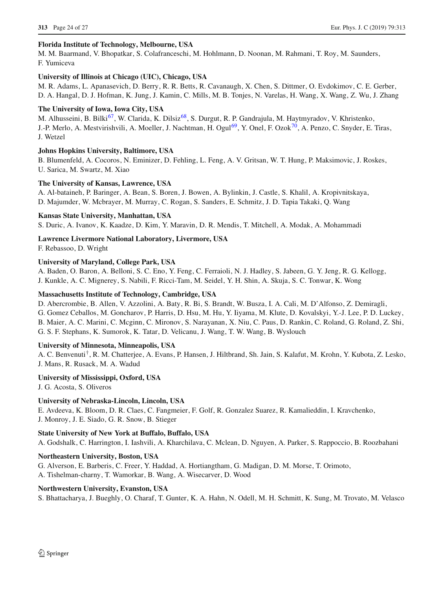#### **Florida Institute of Technology, Melbourne, USA**

M. M. Baarmand, V. Bhopatkar, S. Colafranceschi, M. Hohlmann, D. Noonan, M. Rahmani, T. Roy, M. Saunders, F. Yumiceva

#### **University of Illinois at Chicago (UIC), Chicago, USA**

M. R. Adams, L. Apanasevich, D. Berry, R. R. Betts, R. Cavanaugh, X. Chen, S. Dittmer, O. Evdokimov, C. E. Gerber, D. A. Hangal, D. J. Hofman, K. Jung, J. Kamin, C. Mills, M. B. Tonjes, N. Varelas, H. Wang, X. Wang, Z. Wu, J. Zhang

#### **The University of Iowa, Iowa City, USA**

M. Alhusseini, B. Bilki<sup>67</sup>, W. Clarida, K. Dilsiz<sup>68</sup>, S. Durgut, R. P. Gandrajula, M. Haytmyradov, V. Khristenko, J.-P. Merlo, A. Mestvirishvili, A. Moeller, J. Nachtman, H. Ogul<sup>69</sup>, Y. Onel, F. Ozok<sup>70</sup>, A. Penzo, C. Snyder, E. Tiras, J. Wetzel

#### **Johns Hopkins University, Baltimore, USA**

B. Blumenfeld, A. Cocoros, N. Eminizer, D. Fehling, L. Feng, A. V. Gritsan, W. T. Hung, P. Maksimovic, J. Roskes, U. Sarica, M. Swartz, M. Xiao

#### **The University of Kansas, Lawrence, USA**

A. Al-bataineh, P. Baringer, A. Bean, S. Boren, J. Bowen, A. Bylinkin, J. Castle, S. Khalil, A. Kropivnitskaya, D. Majumder, W. Mcbrayer, M. Murray, C. Rogan, S. Sanders, E. Schmitz, J. D. Tapia Takaki, Q. Wang

#### **Kansas State University, Manhattan, USA**

S. Duric, A. Ivanov, K. Kaadze, D. Kim, Y. Maravin, D. R. Mendis, T. Mitchell, A. Modak, A. Mohammadi

**Lawrence Livermore National Laboratory, Livermore, USA**

F. Rebassoo, D. Wright

#### **University of Maryland, College Park, USA**

A. Baden, O. Baron, A. Belloni, S. C. Eno, Y. Feng, C. Ferraioli, N. J. Hadley, S. Jabeen, G. Y. Jeng, R. G. Kellogg, J. Kunkle, A. C. Mignerey, S. Nabili, F. Ricci-Tam, M. Seidel, Y. H. Shin, A. Skuja, S. C. Tonwar, K. Wong

#### **Massachusetts Institute of Technology, Cambridge, USA**

D. Abercrombie, B. Allen, V. Azzolini, A. Baty, R. Bi, S. Brandt, W. Busza, I. A. Cali, M. D'Alfonso, Z. Demiragli, G. Gomez Ceballos, M. Goncharov, P. Harris, D. Hsu, M. Hu, Y. Iiyama, M. Klute, D. Kovalskyi, Y.-J. Lee, P. D. Luckey, B. Maier, A. C. Marini, C. Mcginn, C. Mironov, S. Narayanan, X. Niu, C. Paus, D. Rankin, C. Roland, G. Roland, Z. Shi, G. S. F. Stephans, K. Sumorok, K. Tatar, D. Velicanu, J. Wang, T. W. Wang, B. Wyslouch

#### **University of Minnesota, Minneapolis, USA**

A. C. Benvenuti†, R. M. Chatterjee, A. Evans, P. Hansen, J. Hiltbrand, Sh. Jain, S. Kalafut, M. Krohn, Y. Kubota, Z. Lesko, J. Mans, R. Rusack, M. A. Wadud

#### **University of Mississippi, Oxford, USA**

J. G. Acosta, S. Oliveros

#### **University of Nebraska-Lincoln, Lincoln, USA**

E. Avdeeva, K. Bloom, D. R. Claes, C. Fangmeier, F. Golf, R. Gonzalez Suarez, R. Kamalieddin, I. Kravchenko, J. Monroy, J. E. Siado, G. R. Snow, B. Stieger

#### **State University of New York at Buffalo, Buffalo, USA**

A. Godshalk, C. Harrington, I. Iashvili, A. Kharchilava, C. Mclean, D. Nguyen, A. Parker, S. Rappoccio, B. Roozbahani

#### **Northeastern University, Boston, USA**

G. Alverson, E. Barberis, C. Freer, Y. Haddad, A. Hortiangtham, G. Madigan, D. M. Morse, T. Orimoto,

A. Tishelman-charny, T. Wamorkar, B. Wang, A. Wisecarver, D. Wood

#### **Northwestern University, Evanston, USA**

S. Bhattacharya, J. Bueghly, O. Charaf, T. Gunter, K. A. Hahn, N. Odell, M. H. Schmitt, K. Sung, M. Trovato, M. Velasco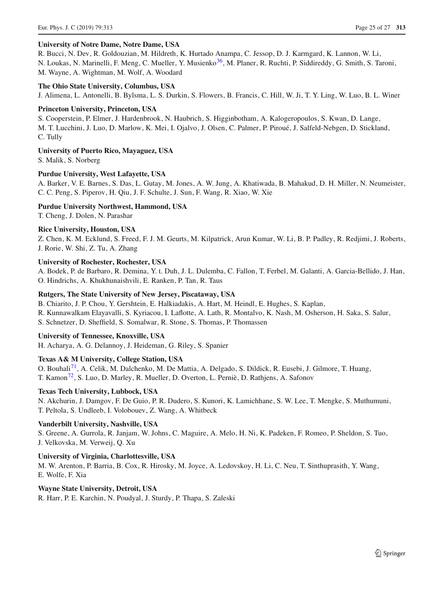#### **University of Notre Dame, Notre Dame, USA**

R. Bucci, N. Dev, R. Goldouzian, M. Hildreth, K. Hurtado Anampa, C. Jessop, D. J. Karmgard, K. Lannon, W. Li, N. Loukas, N. Marinelli, F. Meng, C. Mueller, Y. Musienko<sup>36</sup>, M. Planer, R. Ruchti, P. Siddireddy, G. Smith, S. Taroni, M. Wayne, A. Wightman, M. Wolf, A. Woodard

#### **The Ohio State University, Columbus, USA**

J. Alimena, L. Antonelli, B. Bylsma, L. S. Durkin, S. Flowers, B. Francis, C. Hill, W. Ji, T. Y. Ling, W. Luo, B. L. Winer

#### **Princeton University, Princeton, USA**

S. Cooperstein, P. Elmer, J. Hardenbrook, N. Haubrich, S. Higginbotham, A. Kalogeropoulos, S. Kwan, D. Lange, M. T. Lucchini, J. Luo, D. Marlow, K. Mei, I. Ojalvo, J. Olsen, C. Palmer, P. Piroué, J. Salfeld-Nebgen, D. Stickland, C. Tully

**University of Puerto Rico, Mayaguez, USA**

S. Malik, S. Norberg

#### **Purdue University, West Lafayette, USA**

A. Barker, V. E. Barnes, S. Das, L. Gutay, M. Jones, A. W. Jung, A. Khatiwada, B. Mahakud, D. H. Miller, N. Neumeister, C. C. Peng, S. Piperov, H. Qiu, J. F. Schulte, J. Sun, F. Wang, R. Xiao, W. Xie

#### **Purdue University Northwest, Hammond, USA**

T. Cheng, J. Dolen, N. Parashar

#### **Rice University, Houston, USA**

Z. Chen, K. M. Ecklund, S. Freed, F. J. M. Geurts, M. Kilpatrick, Arun Kumar, W. Li, B. P. Padley, R. Redjimi, J. Roberts, J. Rorie, W. Shi, Z. Tu, A. Zhang

#### **University of Rochester, Rochester, USA**

A. Bodek, P. de Barbaro, R. Demina, Y. t. Duh, J. L. Dulemba, C. Fallon, T. Ferbel, M. Galanti, A. Garcia-Bellido, J. Han, O. Hindrichs, A. Khukhunaishvili, E. Ranken, P. Tan, R. Taus

#### **Rutgers, The State University of New Jersey, Piscataway, USA**

B. Chiarito, J. P. Chou, Y. Gershtein, E. Halkiadakis, A. Hart, M. Heindl, E. Hughes, S. Kaplan,

R. Kunnawalkam Elayavalli, S. Kyriacou, I. Laflotte, A. Lath, R. Montalvo, K. Nash, M. Osherson, H. Saka, S. Salur,

S. Schnetzer, D. Sheffield, S. Somalwar, R. Stone, S. Thomas, P. Thomassen

#### **University of Tennessee, Knoxville, USA**

H. Acharya, A. G. Delannoy, J. Heideman, G. Riley, S. Spanier

#### **Texas A& M University, College Station, USA**

O. Bouhali<sup>71</sup>, A. Celik, M. Dalchenko, M. De Mattia, A. Delgado, S. Dildick, R. Eusebi, J. Gilmore, T. Huang, T. Kamon<sup>72</sup>, S. Luo, D. Marley, R. Mueller, D. Overton, L. Perniè, D. Rathjens, A. Safonov

#### **Texas Tech University, Lubbock, USA**

N. Akchurin, J. Damgov, F. De Guio, P. R. Dudero, S. Kunori, K. Lamichhane, S. W. Lee, T. Mengke, S. Muthumuni, T. Peltola, S. Undleeb, I. Volobouev, Z. Wang, A. Whitbeck

#### **Vanderbilt University, Nashville, USA**

S. Greene, A. Gurrola, R. Janjam, W. Johns, C. Maguire, A. Melo, H. Ni, K. Padeken, F. Romeo, P. Sheldon, S. Tuo, J. Velkovska, M. Verweij, Q. Xu

#### **University of Virginia, Charlottesville, USA**

M. W. Arenton, P. Barria, B. Cox, R. Hirosky, M. Joyce, A. Ledovskoy, H. Li, C. Neu, T. Sinthuprasith, Y. Wang, E. Wolfe, F. Xia

#### **Wayne State University, Detroit, USA**

R. Harr, P. E. Karchin, N. Poudyal, J. Sturdy, P. Thapa, S. Zaleski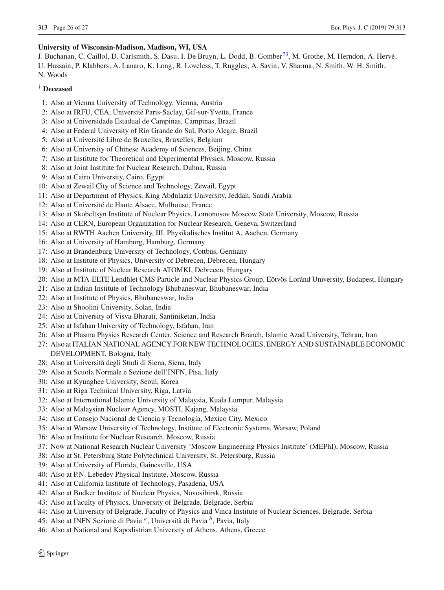## **University of Wisconsin-Madison, Madison, WI, USA**

J. Buchanan, C. Caillol, D. Carlsmith, S. Dasu, I. De Bruyn, L. Dodd, B. Gomber[73,](#page-26-25) M. Grothe, M. Herndon, A. Hervé, U. Hussain, P. Klabbers, A. Lanaro, K. Long, R. Loveless, T. Ruggles, A. Savin, V. Sharma, N. Smith, W. H. Smith, N. Woods

## <span id="page-25-0"></span>† **Deceased**

- <span id="page-25-1"></span>1: Also at Vienna University of Technology, Vienna, Austria
- <span id="page-25-2"></span>2: Also at IRFU, CEA, Université Paris-Saclay, Gif-sur-Yvette, France
- <span id="page-25-3"></span>3: Also at Universidade Estadual de Campinas, Campinas, Brazil
- <span id="page-25-4"></span>4: Also at Federal University of Rio Grande do Sul, Porto Alegre, Brazil
- <span id="page-25-5"></span>5: Also at Université Libre de Bruxelles, Bruxelles, Belgium
- <span id="page-25-6"></span>6: Also at University of Chinese Academy of Sciences, Beijing, China
- <span id="page-25-8"></span><span id="page-25-7"></span>7: Also at Institute for Theoretical and Experimental Physics, Moscow, Russia
- 8: Also at Joint Institute for Nuclear Research, Dubna, Russia
- <span id="page-25-13"></span><span id="page-25-12"></span><span id="page-25-11"></span><span id="page-25-10"></span><span id="page-25-9"></span>9: Also at Cairo University, Cairo, Egypt
- 10: Also at Zewail City of Science and Technology, Zewail, Egypt
- 11: Also at Department of Physics, King Abdulaziz University, Jeddah, Saudi Arabia
- 12: Also at Université de Haute Alsace, Mulhouse, France
- 13: Also at Skobeltsyn Institute of Nuclear Physics, Lomonosov Moscow State University, Moscow, Russia
- <span id="page-25-14"></span>14: Also at CERN, European Organization for Nuclear Research, Geneva, Switzerland
- <span id="page-25-15"></span>15: Also at RWTH Aachen University, III. Physikalisches Institut A, Aachen, Germany
- <span id="page-25-16"></span>16: Also at University of Hamburg, Hamburg, Germany
- <span id="page-25-17"></span>17: Also at Brandenburg University of Technology, Cottbus, Germany
- <span id="page-25-18"></span>18: Also at Institute of Physics, University of Debrecen, Debrecen, Hungary
- <span id="page-25-20"></span><span id="page-25-19"></span>19: Also at Institute of Nuclear Research ATOMKI, Debrecen, Hungary
- 20: Also at MTA-ELTE Lendület CMS Particle and Nuclear Physics Group, Eötvös Loránd University, Budapest, Hungary
- 21: Also at Indian Institute of Technology Bhubaneswar, Bhubaneswar, India
- <span id="page-25-21"></span>22: Also at Institute of Physics, Bhubaneswar, India
- <span id="page-25-22"></span>23: Also at Shoolini University, Solan, India
- <span id="page-25-23"></span>24: Also at University of Visva-Bharati, Santiniketan, India
- <span id="page-25-24"></span>25: Also at Isfahan University of Technology, Isfahan, Iran
- <span id="page-25-25"></span>26: Also at Plasma Physics Research Center, Science and Research Branch, Islamic Azad University, Tehran, Iran
- 27: Also at ITALIAN NATIONAL AGENCY FOR NEW TECHNOLOGIES, ENERGY AND SUSTAINABLE ECONOMIC DEVELOPMENT, Bologna, Italy
- <span id="page-25-27"></span><span id="page-25-26"></span>28: Also at Università degli Studi di Siena, Siena, Italy
- 29: Also at Scuola Normale e Sezione dell'INFN, Pisa, Italy
- <span id="page-25-29"></span><span id="page-25-28"></span>30: Also at Kyunghee University, Seoul, Korea
- <span id="page-25-30"></span>31: Also at Riga Technical University, Riga, Latvia
- 32: Also at International Islamic University of Malaysia, Kuala Lumpur, Malaysia
- <span id="page-25-33"></span><span id="page-25-32"></span><span id="page-25-31"></span>33: Also at Malaysian Nuclear Agency, MOSTI, Kajang, Malaysia
- 34: Also at Consejo Nacional de Ciencia y Tecnología, Mexico City, Mexico
- <span id="page-25-35"></span><span id="page-25-34"></span>35: Also at Warsaw University of Technology, Institute of Electronic Systems, Warsaw, Poland
- 36: Also at Institute for Nuclear Research, Moscow, Russia
- 37: Now at National Research Nuclear University 'Moscow Engineering Physics Institute' (MEPhI), Moscow, Russia
- <span id="page-25-38"></span><span id="page-25-37"></span><span id="page-25-36"></span>38: Also at St. Petersburg State Polytechnical University, St. Petersburg, Russia
- 39: Also at University of Florida, Gainesville, USA
- <span id="page-25-39"></span>40: Also at P.N. Lebedev Physical Institute, Moscow, Russia
- <span id="page-25-40"></span>41: Also at California Institute of Technology, Pasadena, USA
- <span id="page-25-41"></span>42: Also at Budker Institute of Nuclear Physics, Novosibirsk, Russia
- <span id="page-25-42"></span>43: Also at Faculty of Physics, University of Belgrade, Belgrade, Serbia
- <span id="page-25-43"></span>44: Also at University of Belgrade, Faculty of Physics and Vinca Institute of Nuclear Sciences, Belgrade, Serbia
- <span id="page-25-44"></span>45: Also at INFN Sezione di Pavia *<sup>a</sup>*, Università di Pavia *<sup>b</sup>*, Pavia, Italy
- <span id="page-25-45"></span>46: Also at National and Kapodistrian University of Athens, Athens, Greece